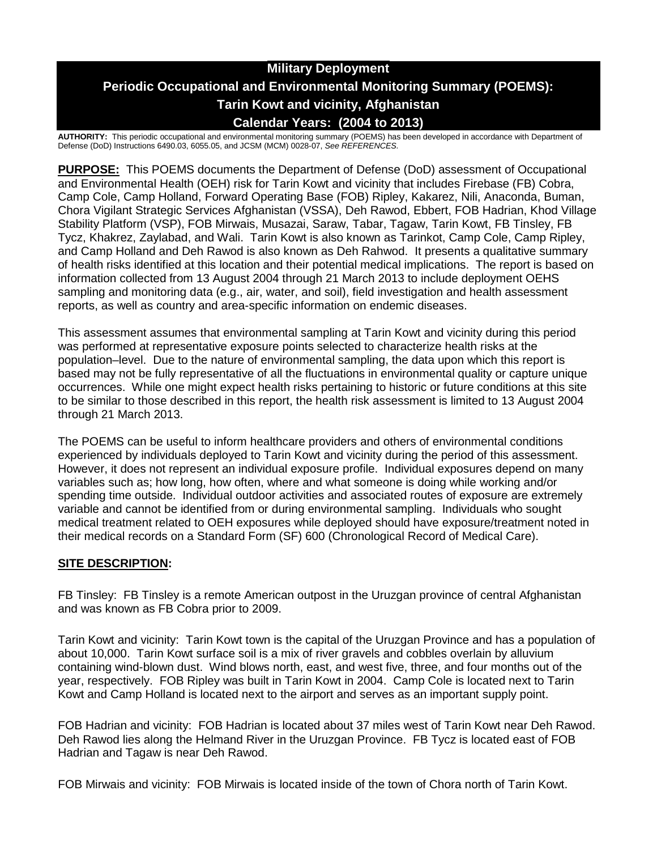# **Military Deployment Periodic Occupational and Environmental Monitoring Summary (POEMS): Tarin Kowt and vicinity, Afghanistan Calendar Years: (2004 to 2013)**

**AUTHORITY:** This periodic occupational and environmental monitoring summary (POEMS) has been developed in accordance with Department of Defense (DoD) Instructions 6490.03, 6055.05, and JCSM (MCM) 0028-07, *See REFERENCES.*

**PURPOSE:** This POEMS documents the Department of Defense (DoD) assessment of Occupational and Environmental Health (OEH) risk for Tarin Kowt and vicinity that includes Firebase (FB) Cobra, Camp Cole, Camp Holland, Forward Operating Base (FOB) Ripley, Kakarez, Nili, Anaconda, Buman, Chora Vigilant Strategic Services Afghanistan (VSSA), Deh Rawod, Ebbert, FOB Hadrian, Khod Village Stability Platform (VSP), FOB Mirwais, Musazai, Saraw, Tabar, Tagaw, Tarin Kowt, FB Tinsley, FB Tycz, Khakrez, Zaylabad, and Wali. Tarin Kowt is also known as Tarinkot, Camp Cole, Camp Ripley, and Camp Holland and Deh Rawod is also known as Deh Rahwod. It presents a qualitative summary of health risks identified at this location and their potential medical implications. The report is based on information collected from 13 August 2004 through 21 March 2013 to include deployment OEHS sampling and monitoring data (e.g., air, water, and soil), field investigation and health assessment reports, as well as country and area-specific information on endemic diseases.

This assessment assumes that environmental sampling at Tarin Kowt and vicinity during this period was performed at representative exposure points selected to characterize health risks at the population–level. Due to the nature of environmental sampling, the data upon which this report is based may not be fully representative of all the fluctuations in environmental quality or capture unique occurrences. While one might expect health risks pertaining to historic or future conditions at this site to be similar to those described in this report, the health risk assessment is limited to 13 August 2004 through 21 March 2013.

The POEMS can be useful to inform healthcare providers and others of environmental conditions experienced by individuals deployed to Tarin Kowt and vicinity during the period of this assessment. However, it does not represent an individual exposure profile. Individual exposures depend on many variables such as; how long, how often, where and what someone is doing while working and/or spending time outside. Individual outdoor activities and associated routes of exposure are extremely variable and cannot be identified from or during environmental sampling. Individuals who sought medical treatment related to OEH exposures while deployed should have exposure/treatment noted in their medical records on a Standard Form (SF) 600 (Chronological Record of Medical Care).

### **SITE DESCRIPTION:**

FB Tinsley: FB Tinsley is a remote American outpost in the Uruzgan province of central Afghanistan and was known as FB Cobra prior to 2009.

Tarin Kowt and vicinity: Tarin Kowt town is the capital of the Uruzgan Province and has a population of about 10,000. Tarin Kowt surface soil is a mix of river gravels and cobbles overlain by alluvium containing wind-blown dust. Wind blows north, east, and west five, three, and four months out of the year, respectively. FOB Ripley was built in Tarin Kowt in 2004. Camp Cole is located next to Tarin Kowt and Camp Holland is located next to the airport and serves as an important supply point.

FOB Hadrian and vicinity: FOB Hadrian is located about 37 miles west of Tarin Kowt near Deh Rawod. Deh Rawod lies along the Helmand River in the Uruzgan Province. FB Tycz is located east of FOB Hadrian and Tagaw is near Deh Rawod.

FOB Mirwais and vicinity: FOB Mirwais is located inside of the town of Chora north of Tarin Kowt.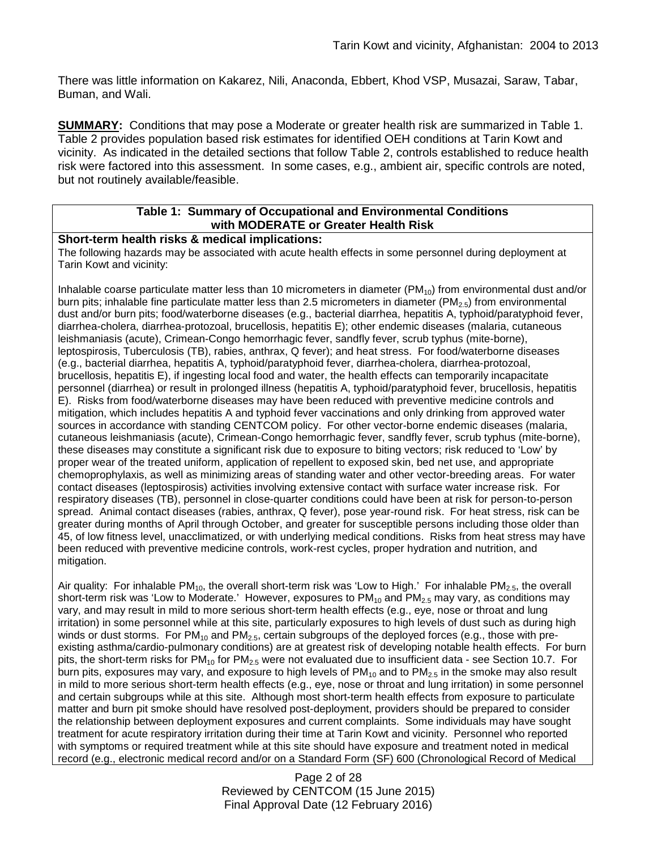There was little information on Kakarez, Nili, Anaconda, Ebbert, Khod VSP, Musazai, Saraw, Tabar, Buman, and Wali.

**SUMMARY:** Conditions that may pose a Moderate or greater health risk are summarized in Table 1. Table 2 provides population based risk estimates for identified OEH conditions at Tarin Kowt and vicinity. As indicated in the detailed sections that follow Table 2, controls established to reduce health risk were factored into this assessment. In some cases, e.g., ambient air, specific controls are noted, but not routinely available/feasible.

### **Table 1: Summary of Occupational and Environmental Conditions with MODERATE or Greater Health Risk**

#### **Short-term health risks & medical implications:**

The following hazards may be associated with acute health effects in some personnel during deployment at Tarin Kowt and vicinity:

Inhalable coarse particulate matter less than 10 micrometers in diameter ( $PM_{10}$ ) from environmental dust and/or burn pits; inhalable fine particulate matter less than 2.5 micrometers in diameter (PM $_{2.5}$ ) from environmental dust and/or burn pits; food/waterborne diseases (e.g., bacterial diarrhea, hepatitis A, typhoid/paratyphoid fever, diarrhea-cholera, diarrhea-protozoal, brucellosis, hepatitis E); other endemic diseases (malaria, cutaneous leishmaniasis (acute), Crimean-Congo hemorrhagic fever, sandfly fever, scrub typhus (mite-borne), leptospirosis, Tuberculosis (TB), rabies, anthrax, Q fever); and heat stress. For food/waterborne diseases (e.g., bacterial diarrhea, hepatitis A, typhoid/paratyphoid fever, diarrhea-cholera, diarrhea-protozoal, brucellosis, hepatitis E), if ingesting local food and water, the health effects can temporarily incapacitate personnel (diarrhea) or result in prolonged illness (hepatitis A, typhoid/paratyphoid fever, brucellosis, hepatitis E). Risks from food/waterborne diseases may have been reduced with preventive medicine controls and mitigation, which includes hepatitis A and typhoid fever vaccinations and only drinking from approved water sources in accordance with standing CENTCOM policy. For other vector-borne endemic diseases (malaria, cutaneous leishmaniasis (acute), Crimean-Congo hemorrhagic fever, sandfly fever, scrub typhus (mite-borne), these diseases may constitute a significant risk due to exposure to biting vectors; risk reduced to 'Low' by proper wear of the treated uniform, application of repellent to exposed skin, bed net use, and appropriate chemoprophylaxis, as well as minimizing areas of standing water and other vector-breeding areas. For water contact diseases (leptospirosis) activities involving extensive contact with surface water increase risk. For respiratory diseases (TB), personnel in close-quarter conditions could have been at risk for person-to-person spread. Animal contact diseases (rabies, anthrax, Q fever), pose year-round risk. For heat stress, risk can be greater during months of April through October, and greater for susceptible persons including those older than 45, of low fitness level, unacclimatized, or with underlying medical conditions. Risks from heat stress may have been reduced with preventive medicine controls, work-rest cycles, proper hydration and nutrition, and mitigation.

Air quality: For inhalable PM<sub>10</sub>, the overall short-term risk was 'Low to High.' For inhalable PM<sub>2.5</sub>, the overall short-term risk was 'Low to Moderate.' However, exposures to  $PM_{10}$  and  $PM_{2.5}$  may vary, as conditions may vary, and may result in mild to more serious short-term health effects (e.g., eye, nose or throat and lung irritation) in some personnel while at this site, particularly exposures to high levels of dust such as during high winds or dust storms. For  $PM_{10}$  and  $PM_{2.5}$ , certain subgroups of the deployed forces (e.g., those with preexisting asthma/cardio-pulmonary conditions) are at greatest risk of developing notable health effects. For burn pits, the short-term risks for  $PM_{10}$  for  $PM_{2.5}$  were not evaluated due to insufficient data - see Section 10.7. For burn pits, exposures may vary, and exposure to high levels of  $PM_{10}$  and to  $PM_{2.5}$  in the smoke may also result in mild to more serious short-term health effects (e.g., eye, nose or throat and lung irritation) in some personnel and certain subgroups while at this site. Although most short-term health effects from exposure to particulate matter and burn pit smoke should have resolved post-deployment, providers should be prepared to consider the relationship between deployment exposures and current complaints. Some individuals may have sought treatment for acute respiratory irritation during their time at Tarin Kowt and vicinity. Personnel who reported with symptoms or required treatment while at this site should have exposure and treatment noted in medical record (e.g., electronic medical record and/or on a Standard Form (SF) 600 (Chronological Record of Medical

> Page 2 of 28 Reviewed by CENTCOM (15 June 2015) Final Approval Date (12 February 2016)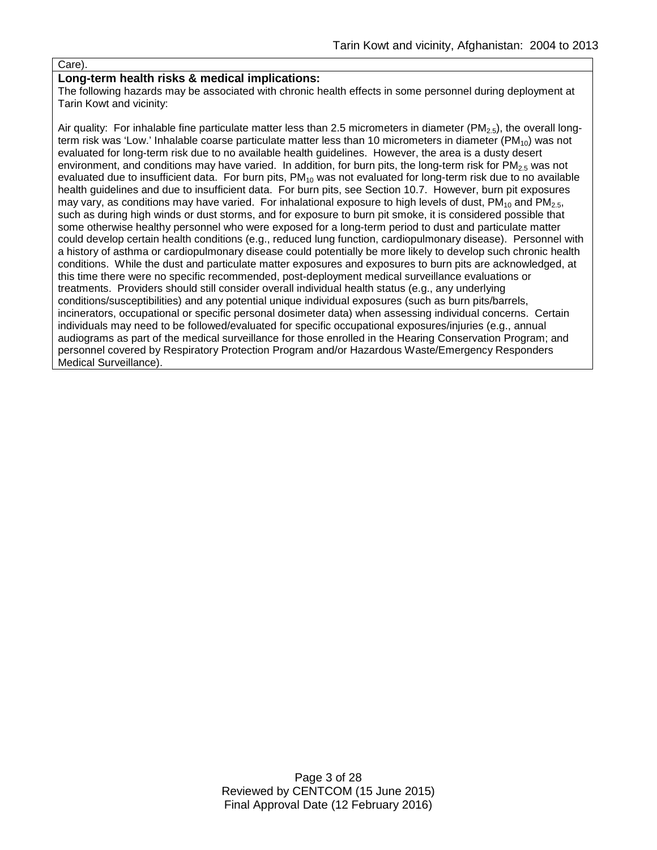#### Care)

#### **Long-term health risks & medical implications:**

The following hazards may be associated with chronic health effects in some personnel during deployment at Tarin Kowt and vicinity:

Air quality: For inhalable fine particulate matter less than 2.5 micrometers in diameter (PM<sub>2.5</sub>), the overall longterm risk was 'Low.' Inhalable coarse particulate matter less than 10 micrometers in diameter  $(PM_{10})$  was not evaluated for long-term risk due to no available health guidelines. However, the area is a dusty desert environment, and conditions may have varied. In addition, for burn pits, the long-term risk for  $PM_{2.5}$  was not evaluated due to insufficient data. For burn pits,  $PM_{10}$  was not evaluated for long-term risk due to no available health guidelines and due to insufficient data. For burn pits, see Section 10.7. However, burn pit exposures may vary, as conditions may have varied. For inhalational exposure to high levels of dust,  $PM_{10}$  and  $PM_{2.5}$ , such as during high winds or dust storms, and for exposure to burn pit smoke, it is considered possible that some otherwise healthy personnel who were exposed for a long-term period to dust and particulate matter could develop certain health conditions (e.g., reduced lung function, cardiopulmonary disease). Personnel with a history of asthma or cardiopulmonary disease could potentially be more likely to develop such chronic health conditions. While the dust and particulate matter exposures and exposures to burn pits are acknowledged, at this time there were no specific recommended, post-deployment medical surveillance evaluations or treatments. Providers should still consider overall individual health status (e.g., any underlying conditions/susceptibilities) and any potential unique individual exposures (such as burn pits/barrels, incinerators, occupational or specific personal dosimeter data) when assessing individual concerns. Certain individuals may need to be followed/evaluated for specific occupational exposures/injuries (e.g., annual audiograms as part of the medical surveillance for those enrolled in the Hearing Conservation Program; and personnel covered by Respiratory Protection Program and/or Hazardous Waste/Emergency Responders Medical Surveillance).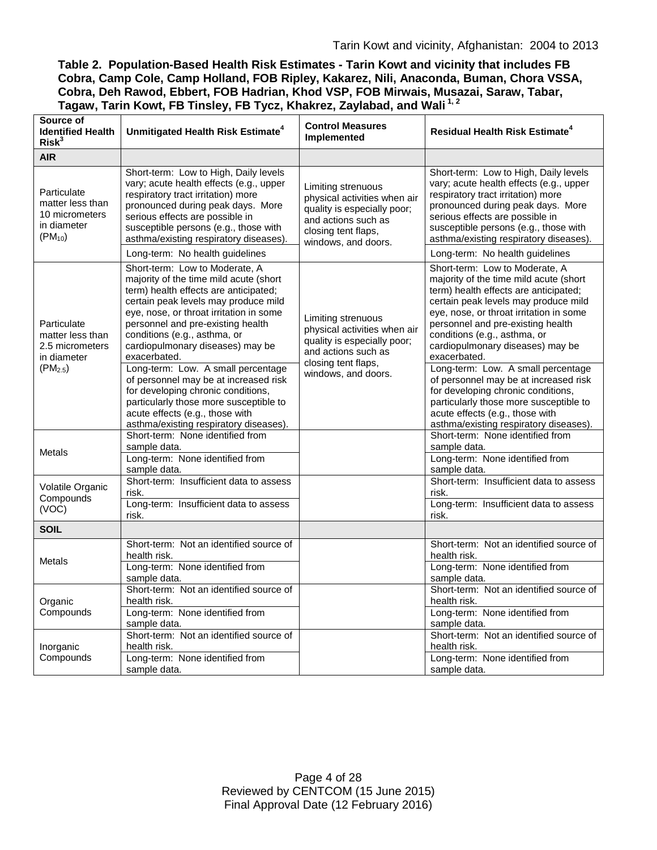| Table 2. Population-Based Health Risk Estimates - Tarin Kowt and vicinity that includes FB |
|--------------------------------------------------------------------------------------------|
| Cobra, Camp Cole, Camp Holland, FOB Ripley, Kakarez, Nili, Anaconda, Buman, Chora VSSA,    |
| Cobra, Deh Rawod, Ebbert, FOB Hadrian, Khod VSP, FOB Mirwais, Musazai, Saraw, Tabar,       |
| Tagaw, Tarin Kowt, FB Tinsley, FB Tycz, Khakrez, Zaylabad, and Wali <sup>1,2</sup>         |

| Source of<br><b>Identified Health</b><br>Risk <sup>3</sup>                        | Unmitigated Health Risk Estimate <sup>4</sup>                                                                                                                                                                                                                                                                                                                                                                                                                                                                                                                             | <b>Control Measures</b><br>Implemented                                                                                                                 | <b>Residual Health Risk Estimate<sup>4</sup></b>                                                                                                                                                                                                                                                                                                                                                                                                                                                                                                                          |
|-----------------------------------------------------------------------------------|---------------------------------------------------------------------------------------------------------------------------------------------------------------------------------------------------------------------------------------------------------------------------------------------------------------------------------------------------------------------------------------------------------------------------------------------------------------------------------------------------------------------------------------------------------------------------|--------------------------------------------------------------------------------------------------------------------------------------------------------|---------------------------------------------------------------------------------------------------------------------------------------------------------------------------------------------------------------------------------------------------------------------------------------------------------------------------------------------------------------------------------------------------------------------------------------------------------------------------------------------------------------------------------------------------------------------------|
| <b>AIR</b>                                                                        |                                                                                                                                                                                                                                                                                                                                                                                                                                                                                                                                                                           |                                                                                                                                                        |                                                                                                                                                                                                                                                                                                                                                                                                                                                                                                                                                                           |
| Particulate<br>matter less than<br>10 micrometers<br>in diameter<br>$(PM_{10})$   | Short-term: Low to High, Daily levels<br>vary; acute health effects (e.g., upper<br>respiratory tract irritation) more<br>pronounced during peak days. More<br>serious effects are possible in<br>susceptible persons (e.g., those with<br>asthma/existing respiratory diseases).<br>Long-term: No health guidelines                                                                                                                                                                                                                                                      | Limiting strenuous<br>physical activities when air<br>quality is especially poor;<br>and actions such as<br>closing tent flaps,<br>windows, and doors. | Short-term: Low to High, Daily levels<br>vary; acute health effects (e.g., upper<br>respiratory tract irritation) more<br>pronounced during peak days. More<br>serious effects are possible in<br>susceptible persons (e.g., those with<br>asthma/existing respiratory diseases).<br>Long-term: No health guidelines                                                                                                                                                                                                                                                      |
| Particulate<br>matter less than<br>2.5 micrometers<br>in diameter<br>$(PM_{2.5})$ | Short-term: Low to Moderate, A<br>majority of the time mild acute (short<br>term) health effects are anticipated;<br>certain peak levels may produce mild<br>eye, nose, or throat irritation in some<br>personnel and pre-existing health<br>conditions (e.g., asthma, or<br>cardiopulmonary diseases) may be<br>exacerbated.<br>Long-term: Low. A small percentage<br>of personnel may be at increased risk<br>for developing chronic conditions,<br>particularly those more susceptible to<br>acute effects (e.g., those with<br>asthma/existing respiratory diseases). | Limiting strenuous<br>physical activities when air<br>quality is especially poor;<br>and actions such as<br>closing tent flaps,<br>windows, and doors. | Short-term: Low to Moderate, A<br>majority of the time mild acute (short<br>term) health effects are anticipated;<br>certain peak levels may produce mild<br>eye, nose, or throat irritation in some<br>personnel and pre-existing health<br>conditions (e.g., asthma, or<br>cardiopulmonary diseases) may be<br>exacerbated.<br>Long-term: Low. A small percentage<br>of personnel may be at increased risk<br>for developing chronic conditions,<br>particularly those more susceptible to<br>acute effects (e.g., those with<br>asthma/existing respiratory diseases). |
| <b>Metals</b>                                                                     | Short-term: None identified from<br>sample data.<br>Long-term: None identified from<br>sample data.                                                                                                                                                                                                                                                                                                                                                                                                                                                                       |                                                                                                                                                        | Short-term: None identified from<br>sample data.<br>Long-term: None identified from<br>sample data.                                                                                                                                                                                                                                                                                                                                                                                                                                                                       |
| Volatile Organic<br>Compounds<br>(VOC)                                            | Short-term: Insufficient data to assess<br>risk.<br>Long-term: Insufficient data to assess<br>risk.                                                                                                                                                                                                                                                                                                                                                                                                                                                                       |                                                                                                                                                        | Short-term: Insufficient data to assess<br>risk.<br>Long-term: Insufficient data to assess<br>risk.                                                                                                                                                                                                                                                                                                                                                                                                                                                                       |
| <b>SOIL</b>                                                                       |                                                                                                                                                                                                                                                                                                                                                                                                                                                                                                                                                                           |                                                                                                                                                        |                                                                                                                                                                                                                                                                                                                                                                                                                                                                                                                                                                           |
| Metals                                                                            | Short-term: Not an identified source of<br>health risk.<br>Long-term: None identified from<br>sample data.                                                                                                                                                                                                                                                                                                                                                                                                                                                                |                                                                                                                                                        | Short-term: Not an identified source of<br>health risk.<br>Long-term: None identified from<br>sample data.                                                                                                                                                                                                                                                                                                                                                                                                                                                                |
| Organic<br>Compounds                                                              | Short-term: Not an identified source of<br>health risk.<br>Long-term: None identified from<br>sample data.                                                                                                                                                                                                                                                                                                                                                                                                                                                                |                                                                                                                                                        | Short-term: Not an identified source of<br>health risk.<br>Long-term: None identified from<br>sample data.                                                                                                                                                                                                                                                                                                                                                                                                                                                                |
| Inorganic<br>Compounds                                                            | Short-term: Not an identified source of<br>health risk.<br>Long-term: None identified from<br>sample data.                                                                                                                                                                                                                                                                                                                                                                                                                                                                |                                                                                                                                                        | Short-term: Not an identified source of<br>health risk.<br>Long-term: None identified from<br>sample data.                                                                                                                                                                                                                                                                                                                                                                                                                                                                |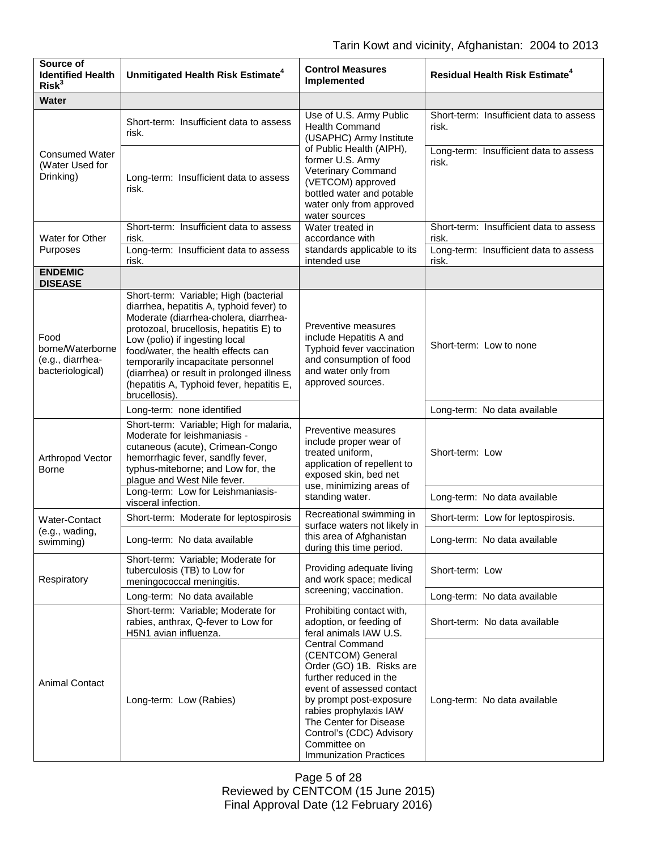| Source of<br><b>Identified Health</b><br>Risk <sup>3</sup>       | Unmitigated Health Risk Estimate <sup>4</sup>                                                                                                                                                                                                                                                                                                                                                  | <b>Control Measures</b><br>Implemented                                                                                                                                                                                                                                                     | <b>Residual Health Risk Estimate<sup>4</sup></b> |
|------------------------------------------------------------------|------------------------------------------------------------------------------------------------------------------------------------------------------------------------------------------------------------------------------------------------------------------------------------------------------------------------------------------------------------------------------------------------|--------------------------------------------------------------------------------------------------------------------------------------------------------------------------------------------------------------------------------------------------------------------------------------------|--------------------------------------------------|
| <b>Water</b>                                                     |                                                                                                                                                                                                                                                                                                                                                                                                |                                                                                                                                                                                                                                                                                            |                                                  |
| <b>Consumed Water</b><br>(Water Used for<br>Drinking)            | Short-term: Insufficient data to assess<br>risk.                                                                                                                                                                                                                                                                                                                                               | Use of U.S. Army Public<br><b>Health Command</b><br>(USAPHC) Army Institute                                                                                                                                                                                                                | Short-term: Insufficient data to assess<br>risk. |
|                                                                  | Long-term: Insufficient data to assess<br>risk.                                                                                                                                                                                                                                                                                                                                                | of Public Health (AIPH),<br>former U.S. Army<br>Veterinary Command<br>(VETCOM) approved<br>bottled water and potable<br>water only from approved<br>water sources                                                                                                                          | Long-term: Insufficient data to assess<br>risk.  |
| Water for Other                                                  | Short-term: Insufficient data to assess<br>risk.                                                                                                                                                                                                                                                                                                                                               | Water treated in<br>accordance with<br>standards applicable to its<br>intended use                                                                                                                                                                                                         | Short-term: Insufficient data to assess<br>risk. |
| Purposes                                                         | Long-term: Insufficient data to assess<br>risk.                                                                                                                                                                                                                                                                                                                                                |                                                                                                                                                                                                                                                                                            | Long-term: Insufficient data to assess<br>risk.  |
| <b>ENDEMIC</b><br><b>DISEASE</b>                                 |                                                                                                                                                                                                                                                                                                                                                                                                |                                                                                                                                                                                                                                                                                            |                                                  |
| Food<br>borne/Waterborne<br>(e.g., diarrhea-<br>bacteriological) | Short-term: Variable; High (bacterial<br>diarrhea, hepatitis A, typhoid fever) to<br>Moderate (diarrhea-cholera, diarrhea-<br>protozoal, brucellosis, hepatitis E) to<br>Low (polio) if ingesting local<br>food/water, the health effects can<br>temporarily incapacitate personnel<br>(diarrhea) or result in prolonged illness<br>(hepatitis A, Typhoid fever, hepatitis E,<br>brucellosis). | Preventive measures<br>include Hepatitis A and<br>Typhoid fever vaccination<br>and consumption of food<br>and water only from<br>approved sources.                                                                                                                                         | Short-term: Low to none                          |
|                                                                  | Long-term: none identified                                                                                                                                                                                                                                                                                                                                                                     |                                                                                                                                                                                                                                                                                            | Long-term: No data available                     |
| Arthropod Vector<br>Borne                                        | Short-term: Variable; High for malaria,<br>Moderate for leishmaniasis -<br>cutaneous (acute), Crimean-Congo<br>hemorrhagic fever, sandfly fever,<br>typhus-miteborne; and Low for, the<br>plague and West Nile fever.                                                                                                                                                                          | Preventive measures<br>include proper wear of<br>treated uniform,<br>application of repellent to<br>exposed skin, bed net<br>use, minimizing areas of<br>standing water.                                                                                                                   | Short-term: Low                                  |
|                                                                  | Long-term: Low for Leishmaniasis-<br>visceral infection.                                                                                                                                                                                                                                                                                                                                       |                                                                                                                                                                                                                                                                                            | Long-term: No data available                     |
| Water-Contact                                                    | Short-term: Moderate for leptospirosis                                                                                                                                                                                                                                                                                                                                                         | Recreational swimming in<br>surface waters not likely in<br>this area of Afghanistan<br>during this time period.                                                                                                                                                                           | Short-term: Low for leptospirosis.               |
| (e.g., wading,<br>swimming)                                      | Long-term: No data available                                                                                                                                                                                                                                                                                                                                                                   |                                                                                                                                                                                                                                                                                            | Long-term: No data available                     |
| Respiratory                                                      | Short-term: Variable; Moderate for<br>tuberculosis (TB) to Low for<br>meningococcal meningitis.                                                                                                                                                                                                                                                                                                | Providing adequate living<br>and work space; medical<br>screening; vaccination.                                                                                                                                                                                                            | Short-term: Low                                  |
|                                                                  | Long-term: No data available                                                                                                                                                                                                                                                                                                                                                                   |                                                                                                                                                                                                                                                                                            | Long-term: No data available                     |
|                                                                  | Short-term: Variable; Moderate for<br>rabies, anthrax, Q-fever to Low for<br>H5N1 avian influenza.                                                                                                                                                                                                                                                                                             | Prohibiting contact with,<br>adoption, or feeding of<br>feral animals IAW U.S.                                                                                                                                                                                                             | Short-term: No data available                    |
| <b>Animal Contact</b>                                            | Long-term: Low (Rabies)                                                                                                                                                                                                                                                                                                                                                                        | <b>Central Command</b><br>(CENTCOM) General<br>Order (GO) 1B. Risks are<br>further reduced in the<br>event of assessed contact<br>by prompt post-exposure<br>rabies prophylaxis IAW<br>The Center for Disease<br>Control's (CDC) Advisory<br>Committee on<br><b>Immunization Practices</b> | Long-term: No data available                     |

Page 5 of 28 Reviewed by CENTCOM (15 June 2015) Final Approval Date (12 February 2016)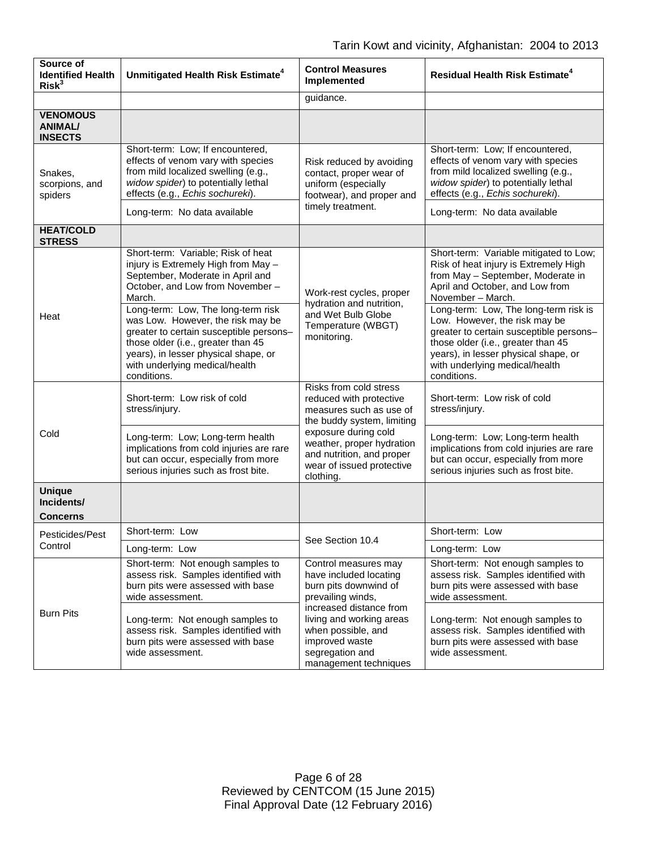| Source of<br><b>Identified Health</b><br>Risk <sup>3</sup> | Unmitigated Health Risk Estimate <sup>4</sup>                                                                                                                                                                                                     | <b>Control Measures</b><br>Implemented                                                                                                                                                                                                  | <b>Residual Health Risk Estimate<sup>4</sup></b>                                                                                                                                                                                                 |
|------------------------------------------------------------|---------------------------------------------------------------------------------------------------------------------------------------------------------------------------------------------------------------------------------------------------|-----------------------------------------------------------------------------------------------------------------------------------------------------------------------------------------------------------------------------------------|--------------------------------------------------------------------------------------------------------------------------------------------------------------------------------------------------------------------------------------------------|
|                                                            |                                                                                                                                                                                                                                                   | guidance.                                                                                                                                                                                                                               |                                                                                                                                                                                                                                                  |
| <b>VENOMOUS</b><br><b>ANIMAL/</b><br><b>INSECTS</b>        |                                                                                                                                                                                                                                                   |                                                                                                                                                                                                                                         |                                                                                                                                                                                                                                                  |
| Snakes,<br>scorpions, and<br>spiders                       | Short-term: Low; If encountered,<br>effects of venom vary with species<br>from mild localized swelling (e.g.,<br>widow spider) to potentially lethal<br>effects (e.g., Echis sochureki).                                                          | Risk reduced by avoiding<br>contact, proper wear of<br>uniform (especially<br>footwear), and proper and<br>timely treatment.                                                                                                            | Short-term: Low; If encountered,<br>effects of venom vary with species<br>from mild localized swelling (e.g.,<br>widow spider) to potentially lethal<br>effects (e.g., Echis sochureki).                                                         |
|                                                            | Long-term: No data available                                                                                                                                                                                                                      |                                                                                                                                                                                                                                         | Long-term: No data available                                                                                                                                                                                                                     |
| <b>HEAT/COLD</b><br><b>STRESS</b>                          |                                                                                                                                                                                                                                                   |                                                                                                                                                                                                                                         |                                                                                                                                                                                                                                                  |
| Heat                                                       | Short-term: Variable; Risk of heat<br>injury is Extremely High from May -<br>September, Moderate in April and<br>October, and Low from November-<br>March.                                                                                        | Work-rest cycles, proper<br>hydration and nutrition,<br>and Wet Bulb Globe<br>Temperature (WBGT)<br>monitoring.                                                                                                                         | Short-term: Variable mitigated to Low;<br>Risk of heat injury is Extremely High<br>from May - September, Moderate in<br>April and October, and Low from<br>November - March.                                                                     |
|                                                            | Long-term: Low, The long-term risk<br>was Low. However, the risk may be<br>greater to certain susceptible persons-<br>those older (i.e., greater than 45<br>years), in lesser physical shape, or<br>with underlying medical/health<br>conditions. |                                                                                                                                                                                                                                         | Long-term: Low, The long-term risk is<br>Low. However, the risk may be<br>greater to certain susceptible persons-<br>those older (i.e., greater than 45<br>years), in lesser physical shape, or<br>with underlying medical/health<br>conditions. |
|                                                            | Short-term: Low risk of cold<br>stress/injury.                                                                                                                                                                                                    | Risks from cold stress<br>reduced with protective<br>measures such as use of<br>the buddy system, limiting<br>exposure during cold<br>weather, proper hydration<br>and nutrition, and proper<br>wear of issued protective<br>clothing.  | Short-term: Low risk of cold<br>stress/injury.                                                                                                                                                                                                   |
| Cold                                                       | Long-term: Low; Long-term health<br>implications from cold injuries are rare<br>but can occur, especially from more<br>serious injuries such as frost bite.                                                                                       |                                                                                                                                                                                                                                         | Long-term: Low; Long-term health<br>implications from cold injuries are rare<br>but can occur, especially from more<br>serious injuries such as frost bite.                                                                                      |
| <b>Unique</b><br>Incidents/                                |                                                                                                                                                                                                                                                   |                                                                                                                                                                                                                                         |                                                                                                                                                                                                                                                  |
| Concerns                                                   | Short-term: Low                                                                                                                                                                                                                                   | See Section 10.4                                                                                                                                                                                                                        | Short-term: Low                                                                                                                                                                                                                                  |
| Pesticides/Pest<br>Control                                 | Long-term: Low                                                                                                                                                                                                                                    |                                                                                                                                                                                                                                         | Long-term: Low                                                                                                                                                                                                                                   |
| <b>Burn Pits</b>                                           | Short-term: Not enough samples to<br>assess risk. Samples identified with<br>burn pits were assessed with base<br>wide assessment.                                                                                                                | Control measures may<br>have included locating<br>burn pits downwind of<br>prevailing winds,<br>increased distance from<br>living and working areas<br>when possible, and<br>improved waste<br>segregation and<br>management techniques | Short-term: Not enough samples to<br>assess risk. Samples identified with<br>burn pits were assessed with base<br>wide assessment.                                                                                                               |
|                                                            | Long-term: Not enough samples to<br>assess risk. Samples identified with<br>burn pits were assessed with base<br>wide assessment.                                                                                                                 |                                                                                                                                                                                                                                         | Long-term: Not enough samples to<br>assess risk. Samples identified with<br>burn pits were assessed with base<br>wide assessment.                                                                                                                |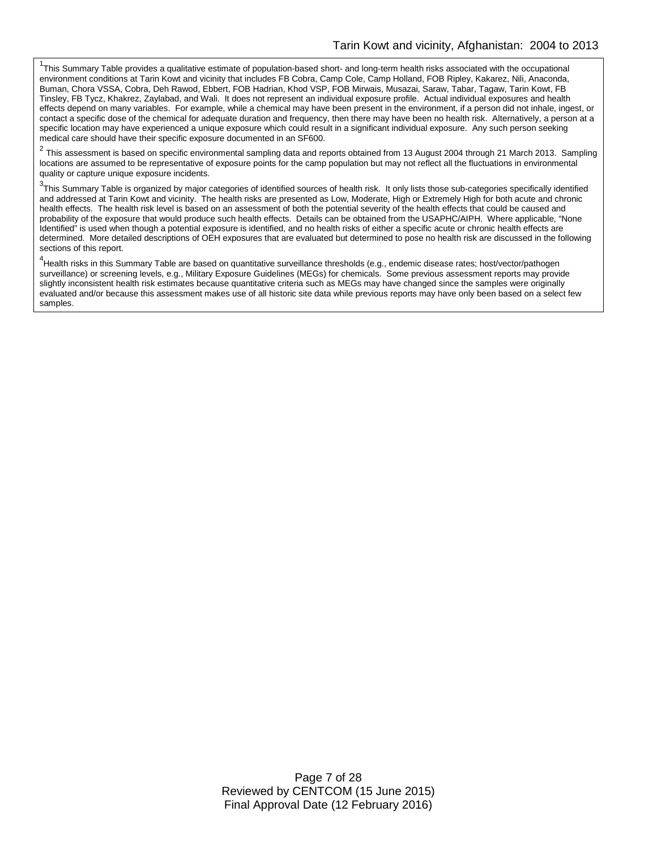<sup>1</sup>This Summary Table provides a qualitative estimate of population-based short- and long-term health risks associated with the occupational environment conditions at Tarin Kowt and vicinity that includes FB Cobra, Camp Cole, Camp Holland, FOB Ripley, Kakarez, Nili, Anaconda, Buman, Chora VSSA, Cobra, Deh Rawod, Ebbert, FOB Hadrian, Khod VSP, FOB Mirwais, Musazai, Saraw, Tabar, Tagaw, Tarin Kowt, FB Tinsley, FB Tycz, Khakrez, Zaylabad, and Wali. It does not represent an individual exposure profile. Actual individual exposures and health effects depend on many variables. For example, while a chemical may have been present in the environment, if a person did not inhale, ingest, or contact a specific dose of the chemical for adequate duration and frequency, then there may have been no health risk. Alternatively, a person at a specific location may have experienced a unique exposure which could result in a significant individual exposure. Any such person seeking medical care should have their specific exposure documented in an SF600.

 $2$  This assessment is based on specific environmental sampling data and reports obtained from 13 August 2004 through 21 March 2013. Sampling locations are assumed to be representative of exposure points for the camp population but may not reflect all the fluctuations in environmental quality or capture unique exposure incidents.

 $^3$ This Summary Table is organized by major categories of identified sources of health risk. It only lists those sub-categories specifically identified and addressed at Tarin Kowt and vicinity. The health risks are presented as Low, Moderate, High or Extremely High for both acute and chronic health effects. The health risk level is based on an assessment of both the potential severity of the health effects that could be caused and probability of the exposure that would produce such health effects. Details can be obtained from the USAPHC/AIPH. Where applicable, "None Identified" is used when though a potential exposure is identified, and no health risks of either a specific acute or chronic health effects are determined. More detailed descriptions of OEH exposures that are evaluated but determined to pose no health risk are discussed in the following sections of this report.

<sup>4</sup>Health risks in this Summary Table are based on quantitative surveillance thresholds (e.g., endemic disease rates; host/vector/pathogen surveillance) or screening levels, e.g., Military Exposure Guidelines (MEGs) for chemicals. Some previous assessment reports may provide slightly inconsistent health risk estimates because quantitative criteria such as MEGs may have changed since the samples were originally evaluated and/or because this assessment makes use of all historic site data while previous reports may have only been based on a select few samples.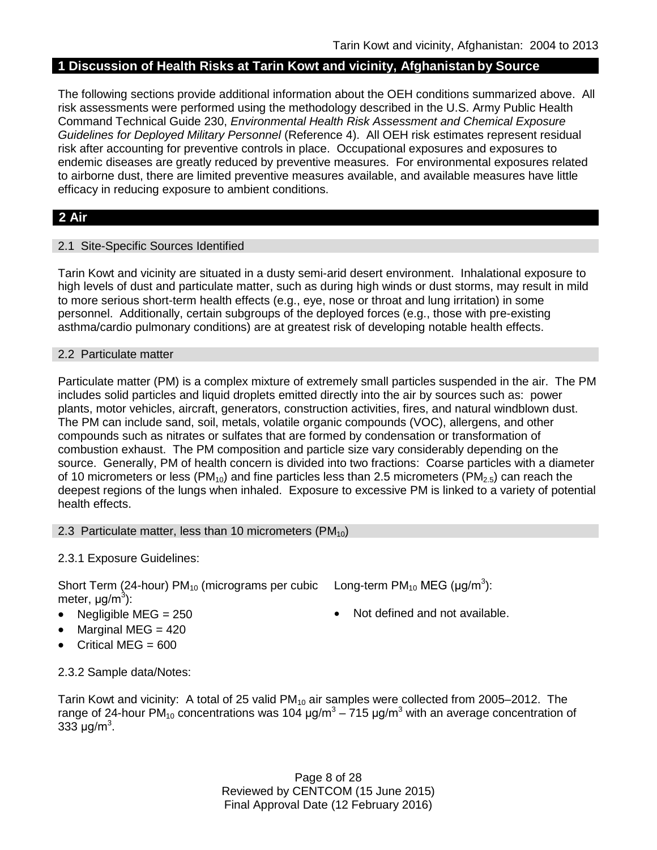### **1 Discussion of Health Risks at Tarin Kowt and vicinity, Afghanistan by Source**

The following sections provide additional information about the OEH conditions summarized above. All risk assessments were performed using the methodology described in the U.S. Army Public Health Command Technical Guide 230, *Environmental Health Risk Assessment and Chemical Exposure Guidelines for Deployed Military Personnel* (Reference 4). All OEH risk estimates represent residual risk after accounting for preventive controls in place. Occupational exposures and exposures to endemic diseases are greatly reduced by preventive measures. For environmental exposures related to airborne dust, there are limited preventive measures available, and available measures have little efficacy in reducing exposure to ambient conditions.

## **2 Air**

### 2.1 Site-Specific Sources Identified

Tarin Kowt and vicinity are situated in a dusty semi-arid desert environment. Inhalational exposure to high levels of dust and particulate matter, such as during high winds or dust storms, may result in mild to more serious short-term health effects (e.g., eye, nose or throat and lung irritation) in some personnel. Additionally, certain subgroups of the deployed forces (e.g., those with pre-existing asthma/cardio pulmonary conditions) are at greatest risk of developing notable health effects.

#### 2.2 Particulate matter

Particulate matter (PM) is a complex mixture of extremely small particles suspended in the air. The PM includes solid particles and liquid droplets emitted directly into the air by sources such as: power plants, motor vehicles, aircraft, generators, construction activities, fires, and natural windblown dust. The PM can include sand, soil, metals, volatile organic compounds (VOC), allergens, and other compounds such as nitrates or sulfates that are formed by condensation or transformation of combustion exhaust. The PM composition and particle size vary considerably depending on the source. Generally, PM of health concern is divided into two fractions: Coarse particles with a diameter of 10 micrometers or less (PM<sub>10</sub>) and fine particles less than 2.5 micrometers (PM<sub>2.5</sub>) can reach the deepest regions of the lungs when inhaled. Exposure to excessive PM is linked to a variety of potential health effects.

### 2.3 Particulate matter, less than 10 micrometers  $(PM_{10})$

### 2.3.1 Exposure Guidelines:

Short Term (24-hour) PM<sub>10</sub> (micrograms per cubic Long-term PM<sub>10</sub> MEG (µg/m<sup>3</sup>): meter, μg/m<sup>3</sup>):

- Negligible MEG = 250 Not defined and not available.
- Marginal MEG  $= 420$
- Critical MEG = 600

2.3.2 Sample data/Notes:

Tarin Kowt and vicinity: A total of 25 valid  $PM_{10}$  air samples were collected from 2005–2012. The range of 24-hour PM<sub>10</sub> concentrations was 104  $\mu$ g/m<sup>3</sup> – 715  $\mu$ g/m<sup>3</sup> with an average concentration of 333  $\mu$ g/m<sup>3</sup>.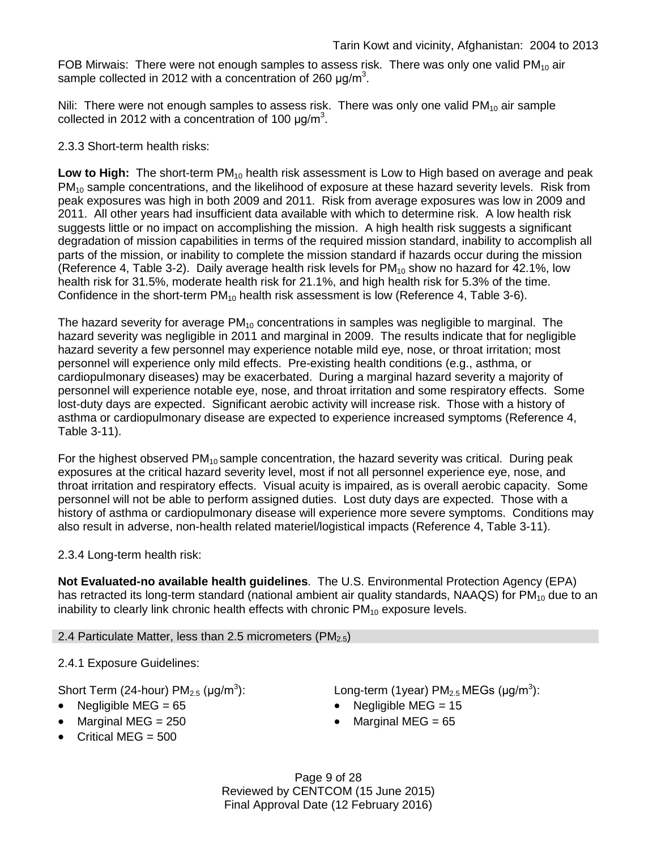FOB Mirwais: There were not enough samples to assess risk. There was only one valid  $PM_{10}$  air sample collected in 2012 with a concentration of 260  $\mu$ g/m<sup>3</sup>.

Nili: There were not enough samples to assess risk. There was only one valid  $PM_{10}$  air sample collected in 2012 with a concentration of 100  $\mu$ g/m<sup>3</sup>.

### 2.3.3 Short-term health risks:

Low to High: The short-term PM<sub>10</sub> health risk assessment is Low to High based on average and peak  $PM<sub>10</sub>$  sample concentrations, and the likelihood of exposure at these hazard severity levels. Risk from peak exposures was high in both 2009 and 2011. Risk from average exposures was low in 2009 and 2011. All other years had insufficient data available with which to determine risk. A low health risk suggests little or no impact on accomplishing the mission. A high health risk suggests a significant degradation of mission capabilities in terms of the required mission standard, inability to accomplish all parts of the mission, or inability to complete the mission standard if hazards occur during the mission (Reference 4, Table 3-2). Daily average health risk levels for  $PM_{10}$  show no hazard for 42.1%, low health risk for 31.5%, moderate health risk for 21.1%, and high health risk for 5.3% of the time. Confidence in the short-term  $PM_{10}$  health risk assessment is low (Reference 4, Table 3-6).

The hazard severity for average  $PM_{10}$  concentrations in samples was negligible to marginal. The hazard severity was negligible in 2011 and marginal in 2009. The results indicate that for negligible hazard severity a few personnel may experience notable mild eye, nose, or throat irritation; most personnel will experience only mild effects. Pre-existing health conditions (e.g., asthma, or cardiopulmonary diseases) may be exacerbated. During a marginal hazard severity a majority of personnel will experience notable eye, nose, and throat irritation and some respiratory effects. Some lost-duty days are expected. Significant aerobic activity will increase risk. Those with a history of asthma or cardiopulmonary disease are expected to experience increased symptoms (Reference 4, Table 3-11).

For the highest observed  $PM_{10}$  sample concentration, the hazard severity was critical. During peak exposures at the critical hazard severity level, most if not all personnel experience eye, nose, and throat irritation and respiratory effects. Visual acuity is impaired, as is overall aerobic capacity. Some personnel will not be able to perform assigned duties. Lost duty days are expected. Those with a history of asthma or cardiopulmonary disease will experience more severe symptoms. Conditions may also result in adverse, non-health related materiel/logistical impacts (Reference 4, Table 3-11).

2.3.4 Long-term health risk:

**Not Evaluated-no available health guidelines**. The U.S. Environmental Protection Agency (EPA) has retracted its long-term standard (national ambient air quality standards, NAAQS) for  $PM_{10}$  due to an inability to clearly link chronic health effects with chronic  $PM_{10}$  exposure levels.

### 2.4 Particulate Matter, less than 2.5 micrometers (PM $_{2.5}$ )

2.4.1 Exposure Guidelines:

Short Term (24-hour)  $PM_{2.5}$  ( $\mu$ g/m<sup>3</sup>):

- Negligible MEG = 65 Negligible MEG = 15
- Marginal MEG = 250 **•** Marginal MEG = 65
- Critical MEG  $= 500$

):  $\qquad \qquad \textsf{Long-term (1year) PM}_{2.5} \, \textsf{MEGs (}\mu\textsf{g/m}^3\textsf{)}\textsf{:}$ 

- 
- 

Page 9 of 28 Reviewed by CENTCOM (15 June 2015) Final Approval Date (12 February 2016)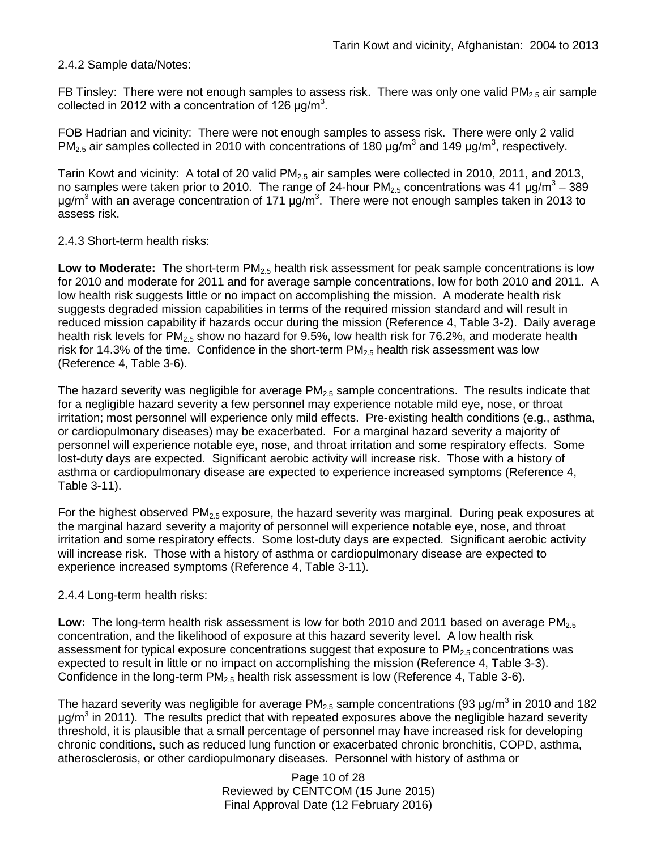### 2.4.2 Sample data/Notes:

FB Tinsley: There were not enough samples to assess risk. There was only one valid  $PM_{2.5}$  air sample collected in 2012 with a concentration of 126  $\mu$ g/m<sup>3</sup>.

FOB Hadrian and vicinity: There were not enough samples to assess risk. There were only 2 valid PM<sub>2.5</sub> air samples collected in 2010 with concentrations of 180  $\mu$ g/m<sup>3</sup> and 149  $\mu$ g/m<sup>3</sup>, respectively.

Tarin Kowt and vicinity: A total of 20 valid  $PM<sub>2.5</sub>$  air samples were collected in 2010, 2011, and 2013, no samples were taken prior to 2010. The range of 24-hour  $PM_{2.5}$  concentrations was 41  $\mu$ g/m<sup>3</sup> – 389 μg/m<sup>3</sup> with an average concentration of 171 μg/m<sup>3</sup>. There were not enough samples taken in 2013 to assess risk.

### 2.4.3 Short-term health risks:

**Low to Moderate:** The short-term PM<sub>2.5</sub> health risk assessment for peak sample concentrations is low for 2010 and moderate for 2011 and for average sample concentrations, low for both 2010 and 2011. A low health risk suggests little or no impact on accomplishing the mission. A moderate health risk suggests degraded mission capabilities in terms of the required mission standard and will result in reduced mission capability if hazards occur during the mission (Reference 4, Table 3-2). Daily average health risk levels for PM<sub>2.5</sub> show no hazard for 9.5%, low health risk for 76.2%, and moderate health risk for 14.3% of the time. Confidence in the short-term  $PM_{2.5}$  health risk assessment was low (Reference 4, Table 3-6).

The hazard severity was negligible for average  $PM_{2.5}$  sample concentrations. The results indicate that for a negligible hazard severity a few personnel may experience notable mild eye, nose, or throat irritation; most personnel will experience only mild effects. Pre-existing health conditions (e.g., asthma, or cardiopulmonary diseases) may be exacerbated. For a marginal hazard severity a majority of personnel will experience notable eye, nose, and throat irritation and some respiratory effects. Some lost-duty days are expected. Significant aerobic activity will increase risk. Those with a history of asthma or cardiopulmonary disease are expected to experience increased symptoms (Reference 4, Table 3-11).

For the highest observed  $PM<sub>2.5</sub>$  exposure, the hazard severity was marginal. During peak exposures at the marginal hazard severity a majority of personnel will experience notable eye, nose, and throat irritation and some respiratory effects. Some lost-duty days are expected. Significant aerobic activity will increase risk. Those with a history of asthma or cardiopulmonary disease are expected to experience increased symptoms (Reference 4, Table 3-11).

### 2.4.4 Long-term health risks:

**Low:** The long-term health risk assessment is low for both 2010 and 2011 based on average PM<sub>2.5</sub> concentration, and the likelihood of exposure at this hazard severity level. A low health risk assessment for typical exposure concentrations suggest that exposure to  $PM<sub>2.5</sub>$  concentrations was expected to result in little or no impact on accomplishing the mission (Reference 4, Table 3-3). Confidence in the long-term  $PM<sub>2.5</sub>$  health risk assessment is low (Reference 4, Table 3-6).

The hazard severity was negligible for average PM<sub>2.5</sub> sample concentrations (93 µg/m<sup>3</sup> in 2010 and 182  $\mu$ g/m<sup>3</sup> in 2011). The results predict that with repeated exposures above the negligible hazard severity threshold, it is plausible that a small percentage of personnel may have increased risk for developing chronic conditions, such as reduced lung function or exacerbated chronic bronchitis, COPD, asthma, atherosclerosis, or other cardiopulmonary diseases. Personnel with history of asthma or

> Page 10 of 28 Reviewed by CENTCOM (15 June 2015) Final Approval Date (12 February 2016)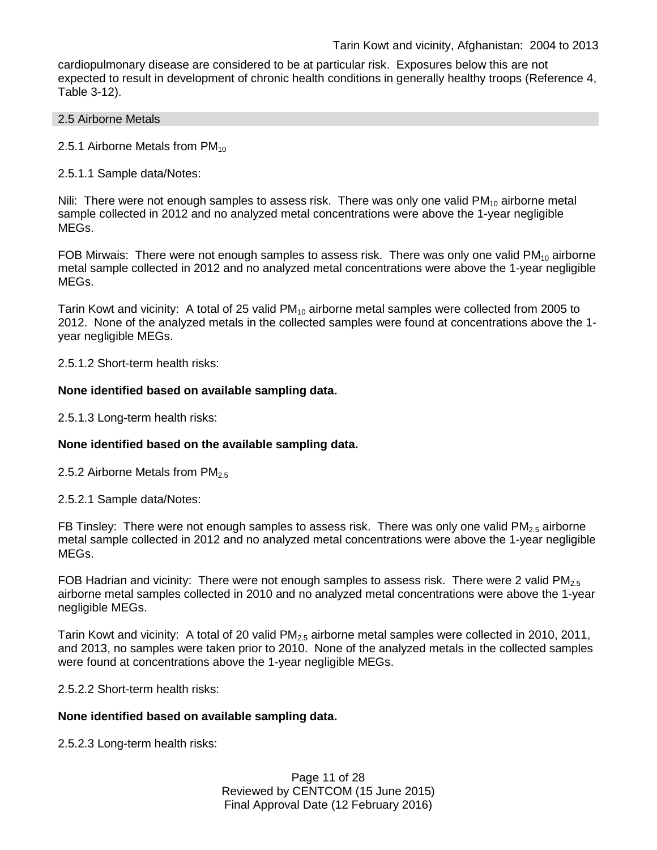cardiopulmonary disease are considered to be at particular risk. Exposures below this are not expected to result in development of chronic health conditions in generally healthy troops (Reference 4, Table 3-12).

#### 2.5 Airborne Metals

2.5.1 Airborne Metals from  $PM_{10}$ 

2.5.1.1 Sample data/Notes:

Nili: There were not enough samples to assess risk. There was only one valid  $PM_{10}$  airborne metal sample collected in 2012 and no analyzed metal concentrations were above the 1-year negligible MEGs.

FOB Mirwais: There were not enough samples to assess risk. There was only one valid  $PM_{10}$  airborne metal sample collected in 2012 and no analyzed metal concentrations were above the 1-year negligible MEGs.

Tarin Kowt and vicinity: A total of 25 valid  $PM_{10}$  airborne metal samples were collected from 2005 to 2012. None of the analyzed metals in the collected samples were found at concentrations above the 1 year negligible MEGs.

2.5.1.2 Short-term health risks:

### **None identified based on available sampling data.**

2.5.1.3 Long-term health risks:

### **None identified based on the available sampling data.**

2.5.2 Airborne Metals from  $PM<sub>2.5</sub>$ 

2.5.2.1 Sample data/Notes:

FB Tinsley: There were not enough samples to assess risk. There was only one valid  $PM<sub>2.5</sub>$  airborne metal sample collected in 2012 and no analyzed metal concentrations were above the 1-year negligible MEGs.

FOB Hadrian and vicinity: There were not enough samples to assess risk. There were 2 valid  $PM_{2.5}$ airborne metal samples collected in 2010 and no analyzed metal concentrations were above the 1-year negligible MEGs.

Tarin Kowt and vicinity: A total of 20 valid  $PM_{2.5}$  airborne metal samples were collected in 2010, 2011, and 2013, no samples were taken prior to 2010. None of the analyzed metals in the collected samples were found at concentrations above the 1-year negligible MEGs.

2.5.2.2 Short-term health risks:

#### **None identified based on available sampling data.**

2.5.2.3 Long-term health risks:

Page 11 of 28 Reviewed by CENTCOM (15 June 2015) Final Approval Date (12 February 2016)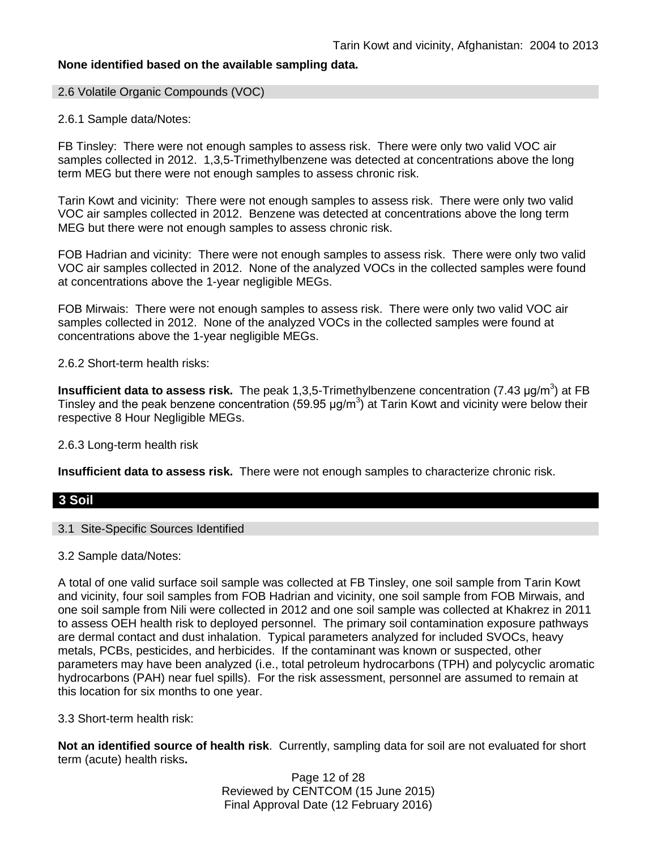### **None identified based on the available sampling data.**

#### 2.6 Volatile Organic Compounds (VOC)

#### 2.6.1 Sample data/Notes:

FB Tinsley: There were not enough samples to assess risk. There were only two valid VOC air samples collected in 2012. 1,3,5-Trimethylbenzene was detected at concentrations above the long term MEG but there were not enough samples to assess chronic risk.

Tarin Kowt and vicinity: There were not enough samples to assess risk. There were only two valid VOC air samples collected in 2012. Benzene was detected at concentrations above the long term MEG but there were not enough samples to assess chronic risk.

FOB Hadrian and vicinity: There were not enough samples to assess risk. There were only two valid VOC air samples collected in 2012. None of the analyzed VOCs in the collected samples were found at concentrations above the 1-year negligible MEGs.

FOB Mirwais: There were not enough samples to assess risk. There were only two valid VOC air samples collected in 2012. None of the analyzed VOCs in the collected samples were found at concentrations above the 1-year negligible MEGs.

2.6.2 Short-term health risks:

**Insufficient data to assess risk.** The peak 1,3,5-Trimethylbenzene concentration (7.43 μg/m<sup>3</sup>) at FB Tinsley and the peak benzene concentration (59.95  $\mu$ g/m<sup>3</sup>) at Tarin Kowt and vicinity were below their respective 8 Hour Negligible MEGs.

2.6.3 Long-term health risk

**Insufficient data to assess risk.** There were not enough samples to characterize chronic risk.

#### **3 Soil**

#### 3.1 Site-Specific Sources Identified

3.2 Sample data/Notes:

A total of one valid surface soil sample was collected at FB Tinsley, one soil sample from Tarin Kowt and vicinity, four soil samples from FOB Hadrian and vicinity, one soil sample from FOB Mirwais, and one soil sample from Nili were collected in 2012 and one soil sample was collected at Khakrez in 2011 to assess OEH health risk to deployed personnel. The primary soil contamination exposure pathways are dermal contact and dust inhalation. Typical parameters analyzed for included SVOCs, heavy metals, PCBs, pesticides, and herbicides. If the contaminant was known or suspected, other parameters may have been analyzed (i.e., total petroleum hydrocarbons (TPH) and polycyclic aromatic hydrocarbons (PAH) near fuel spills). For the risk assessment, personnel are assumed to remain at this location for six months to one year.

3.3 Short-term health risk:

**Not an identified source of health risk**. Currently, sampling data for soil are not evaluated for short term (acute) health risks**.**

> Page 12 of 28 Reviewed by CENTCOM (15 June 2015) Final Approval Date (12 February 2016)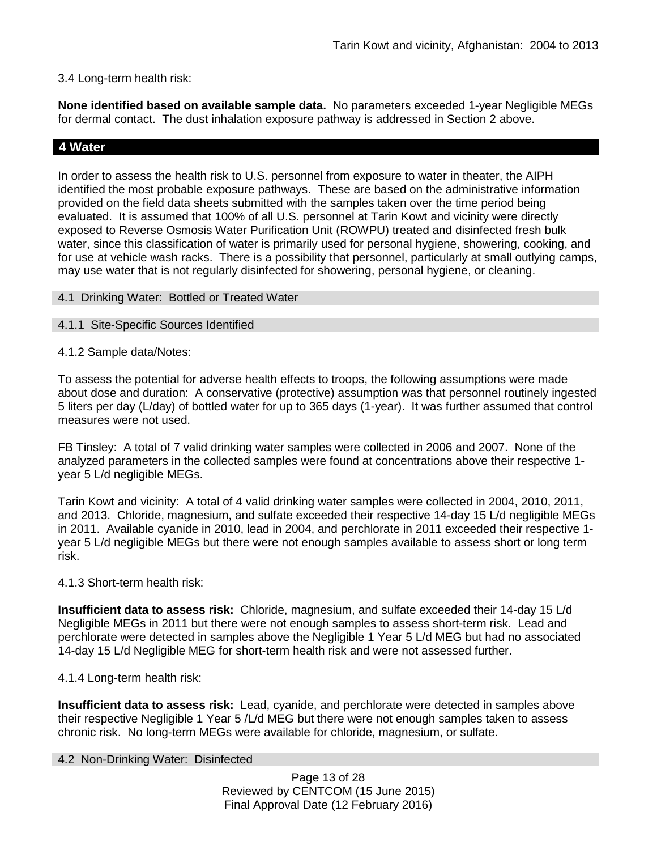### 3.4 Long-term health risk:

**None identified based on available sample data.** No parameters exceeded 1-year Negligible MEGs for dermal contact. The dust inhalation exposure pathway is addressed in Section 2 above.

## **4 Water**

In order to assess the health risk to U.S. personnel from exposure to water in theater, the AIPH identified the most probable exposure pathways. These are based on the administrative information provided on the field data sheets submitted with the samples taken over the time period being evaluated. It is assumed that 100% of all U.S. personnel at Tarin Kowt and vicinity were directly exposed to Reverse Osmosis Water Purification Unit (ROWPU) treated and disinfected fresh bulk water, since this classification of water is primarily used for personal hygiene, showering, cooking, and for use at vehicle wash racks. There is a possibility that personnel, particularly at small outlying camps, may use water that is not regularly disinfected for showering, personal hygiene, or cleaning.

### 4.1 Drinking Water: Bottled or Treated Water

### 4.1.1 Site-Specific Sources Identified

#### 4.1.2 Sample data/Notes:

To assess the potential for adverse health effects to troops, the following assumptions were made about dose and duration: A conservative (protective) assumption was that personnel routinely ingested 5 liters per day (L/day) of bottled water for up to 365 days (1-year). It was further assumed that control measures were not used.

FB Tinsley: A total of 7 valid drinking water samples were collected in 2006 and 2007. None of the analyzed parameters in the collected samples were found at concentrations above their respective 1 year 5 L/d negligible MEGs.

Tarin Kowt and vicinity: A total of 4 valid drinking water samples were collected in 2004, 2010, 2011, and 2013. Chloride, magnesium, and sulfate exceeded their respective 14-day 15 L/d negligible MEGs in 2011. Available cyanide in 2010, lead in 2004, and perchlorate in 2011 exceeded their respective 1 year 5 L/d negligible MEGs but there were not enough samples available to assess short or long term risk.

#### 4.1.3 Short-term health risk:

**Insufficient data to assess risk:** Chloride, magnesium, and sulfate exceeded their 14-day 15 L/d Negligible MEGs in 2011 but there were not enough samples to assess short-term risk. Lead and perchlorate were detected in samples above the Negligible 1 Year 5 L/d MEG but had no associated 14-day 15 L/d Negligible MEG for short-term health risk and were not assessed further.

#### 4.1.4 Long-term health risk:

**Insufficient data to assess risk:** Lead, cyanide, and perchlorate were detected in samples above their respective Negligible 1 Year 5 /L/d MEG but there were not enough samples taken to assess chronic risk. No long-term MEGs were available for chloride, magnesium, or sulfate.

#### 4.2 Non-Drinking Water: Disinfected

Page 13 of 28 Reviewed by CENTCOM (15 June 2015) Final Approval Date (12 February 2016)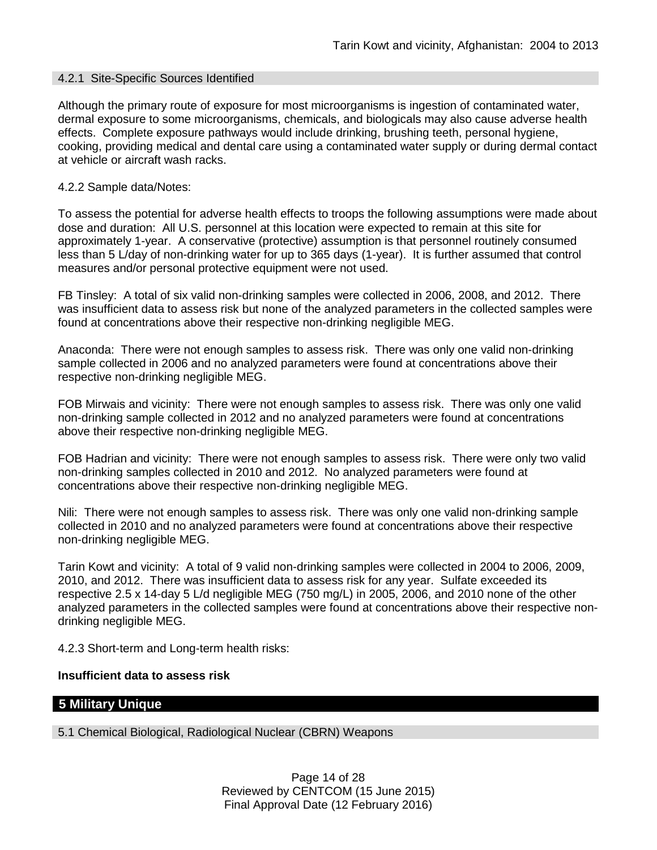#### 4.2.1 Site-Specific Sources Identified

Although the primary route of exposure for most microorganisms is ingestion of contaminated water, dermal exposure to some microorganisms, chemicals, and biologicals may also cause adverse health effects. Complete exposure pathways would include drinking, brushing teeth, personal hygiene, cooking, providing medical and dental care using a contaminated water supply or during dermal contact at vehicle or aircraft wash racks.

#### 4.2.2 Sample data/Notes:

To assess the potential for adverse health effects to troops the following assumptions were made about dose and duration: All U.S. personnel at this location were expected to remain at this site for approximately 1-year. A conservative (protective) assumption is that personnel routinely consumed less than 5 L/day of non-drinking water for up to 365 days (1-year). It is further assumed that control measures and/or personal protective equipment were not used.

FB Tinsley: A total of six valid non-drinking samples were collected in 2006, 2008, and 2012. There was insufficient data to assess risk but none of the analyzed parameters in the collected samples were found at concentrations above their respective non-drinking negligible MEG.

Anaconda: There were not enough samples to assess risk. There was only one valid non-drinking sample collected in 2006 and no analyzed parameters were found at concentrations above their respective non-drinking negligible MEG.

FOB Mirwais and vicinity: There were not enough samples to assess risk. There was only one valid non-drinking sample collected in 2012 and no analyzed parameters were found at concentrations above their respective non-drinking negligible MEG.

FOB Hadrian and vicinity: There were not enough samples to assess risk. There were only two valid non-drinking samples collected in 2010 and 2012. No analyzed parameters were found at concentrations above their respective non-drinking negligible MEG.

Nili: There were not enough samples to assess risk. There was only one valid non-drinking sample collected in 2010 and no analyzed parameters were found at concentrations above their respective non-drinking negligible MEG.

Tarin Kowt and vicinity: A total of 9 valid non-drinking samples were collected in 2004 to 2006, 2009, 2010, and 2012. There was insufficient data to assess risk for any year. Sulfate exceeded its respective 2.5 x 14-day 5 L/d negligible MEG (750 mg/L) in 2005, 2006, and 2010 none of the other analyzed parameters in the collected samples were found at concentrations above their respective nondrinking negligible MEG.

4.2.3 Short-term and Long-term health risks:

### **Insufficient data to assess risk**

## **5 Military Unique**

5.1 Chemical Biological, Radiological Nuclear (CBRN) Weapons

Page 14 of 28 Reviewed by CENTCOM (15 June 2015) Final Approval Date (12 February 2016)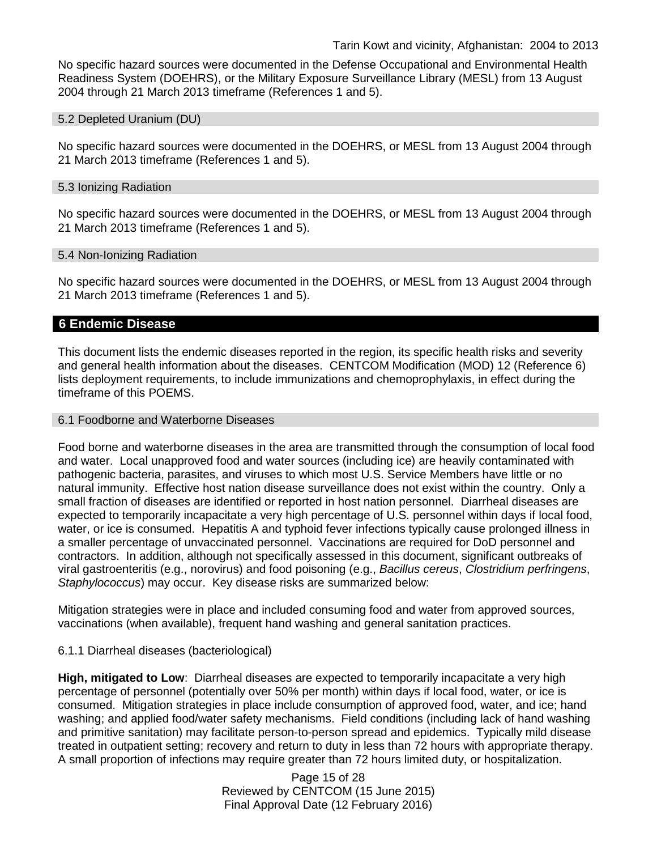No specific hazard sources were documented in the Defense Occupational and Environmental Health Readiness System (DOEHRS), or the Military Exposure Surveillance Library (MESL) from 13 August 2004 through 21 March 2013 timeframe (References 1 and 5).

#### 5.2 Depleted Uranium (DU)

No specific hazard sources were documented in the DOEHRS, or MESL from 13 August 2004 through 21 March 2013 timeframe (References 1 and 5).

#### 5.3 Ionizing Radiation

No specific hazard sources were documented in the DOEHRS, or MESL from 13 August 2004 through 21 March 2013 timeframe (References 1 and 5).

#### 5.4 Non-Ionizing Radiation

No specific hazard sources were documented in the DOEHRS, or MESL from 13 August 2004 through 21 March 2013 timeframe (References 1 and 5).

### **6 Endemic Disease**

This document lists the endemic diseases reported in the region, its specific health risks and severity and general health information about the diseases. CENTCOM Modification (MOD) 12 (Reference 6) lists deployment requirements, to include immunizations and chemoprophylaxis, in effect during the timeframe of this POEMS.

#### 6.1 Foodborne and Waterborne Diseases

Food borne and waterborne diseases in the area are transmitted through the consumption of local food and water. Local unapproved food and water sources (including ice) are heavily contaminated with pathogenic bacteria, parasites, and viruses to which most U.S. Service Members have little or no natural immunity. Effective host nation disease surveillance does not exist within the country. Only a small fraction of diseases are identified or reported in host nation personnel. Diarrheal diseases are expected to temporarily incapacitate a very high percentage of U.S. personnel within days if local food, water, or ice is consumed. Hepatitis A and typhoid fever infections typically cause prolonged illness in a smaller percentage of unvaccinated personnel. Vaccinations are required for DoD personnel and contractors. In addition, although not specifically assessed in this document, significant outbreaks of viral gastroenteritis (e.g., norovirus) and food poisoning (e.g., *Bacillus cereus*, *Clostridium perfringens*, *Staphylococcus*) may occur. Key disease risks are summarized below:

Mitigation strategies were in place and included consuming food and water from approved sources, vaccinations (when available), frequent hand washing and general sanitation practices.

#### 6.1.1 Diarrheal diseases (bacteriological)

**High, mitigated to Low**: Diarrheal diseases are expected to temporarily incapacitate a very high percentage of personnel (potentially over 50% per month) within days if local food, water, or ice is consumed. Mitigation strategies in place include consumption of approved food, water, and ice; hand washing; and applied food/water safety mechanisms. Field conditions (including lack of hand washing and primitive sanitation) may facilitate person-to-person spread and epidemics. Typically mild disease treated in outpatient setting; recovery and return to duty in less than 72 hours with appropriate therapy. A small proportion of infections may require greater than 72 hours limited duty, or hospitalization.

> Page 15 of 28 Reviewed by CENTCOM (15 June 2015) Final Approval Date (12 February 2016)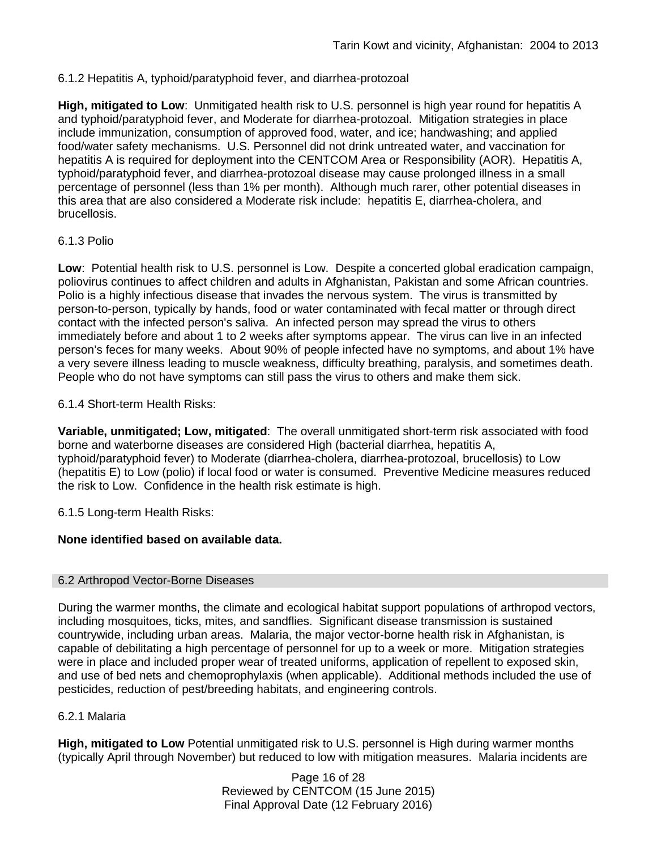### 6.1.2 Hepatitis A, typhoid/paratyphoid fever, and diarrhea-protozoal

**High, mitigated to Low**: Unmitigated health risk to U.S. personnel is high year round for hepatitis A and typhoid/paratyphoid fever, and Moderate for diarrhea-protozoal. Mitigation strategies in place include immunization, consumption of approved food, water, and ice; handwashing; and applied food/water safety mechanisms. U.S. Personnel did not drink untreated water, and vaccination for hepatitis A is required for deployment into the CENTCOM Area or Responsibility (AOR). Hepatitis A, typhoid/paratyphoid fever, and diarrhea-protozoal disease may cause prolonged illness in a small percentage of personnel (less than 1% per month). Although much rarer, other potential diseases in this area that are also considered a Moderate risk include: hepatitis E, diarrhea-cholera, and brucellosis.

### 6.1.3 Polio

**Low**: Potential health risk to U.S. personnel is Low. Despite a concerted global eradication campaign, poliovirus continues to affect children and adults in Afghanistan, Pakistan and some African countries. Polio is a highly infectious disease that invades the nervous system. The virus is transmitted by person-to-person, typically by hands, food or water contaminated with fecal matter or through direct contact with the infected person's saliva. An infected person may spread the virus to others immediately before and about 1 to 2 weeks after symptoms appear. The virus can live in an infected person's feces for many weeks. About 90% of people infected have no symptoms, and about 1% have a very severe illness leading to muscle weakness, difficulty breathing, paralysis, and sometimes death. People who do not have symptoms can still pass the virus to others and make them sick.

### 6.1.4 Short-term Health Risks:

**Variable, unmitigated; Low, mitigated**: The overall unmitigated short-term risk associated with food borne and waterborne diseases are considered High (bacterial diarrhea, hepatitis A, typhoid/paratyphoid fever) to Moderate (diarrhea-cholera, diarrhea-protozoal, brucellosis) to Low (hepatitis E) to Low (polio) if local food or water is consumed. Preventive Medicine measures reduced the risk to Low. Confidence in the health risk estimate is high.

6.1.5 Long-term Health Risks:

### **None identified based on available data.**

#### 6.2 Arthropod Vector-Borne Diseases

During the warmer months, the climate and ecological habitat support populations of arthropod vectors, including mosquitoes, ticks, mites, and sandflies. Significant disease transmission is sustained countrywide, including urban areas. Malaria, the major vector-borne health risk in Afghanistan, is capable of debilitating a high percentage of personnel for up to a week or more. Mitigation strategies were in place and included proper wear of treated uniforms, application of repellent to exposed skin, and use of bed nets and chemoprophylaxis (when applicable). Additional methods included the use of pesticides, reduction of pest/breeding habitats, and engineering controls.

#### 6.2.1 Malaria

**High, mitigated to Low** Potential unmitigated risk to U.S. personnel is High during warmer months (typically April through November) but reduced to low with mitigation measures. Malaria incidents are

> Page 16 of 28 Reviewed by CENTCOM (15 June 2015) Final Approval Date (12 February 2016)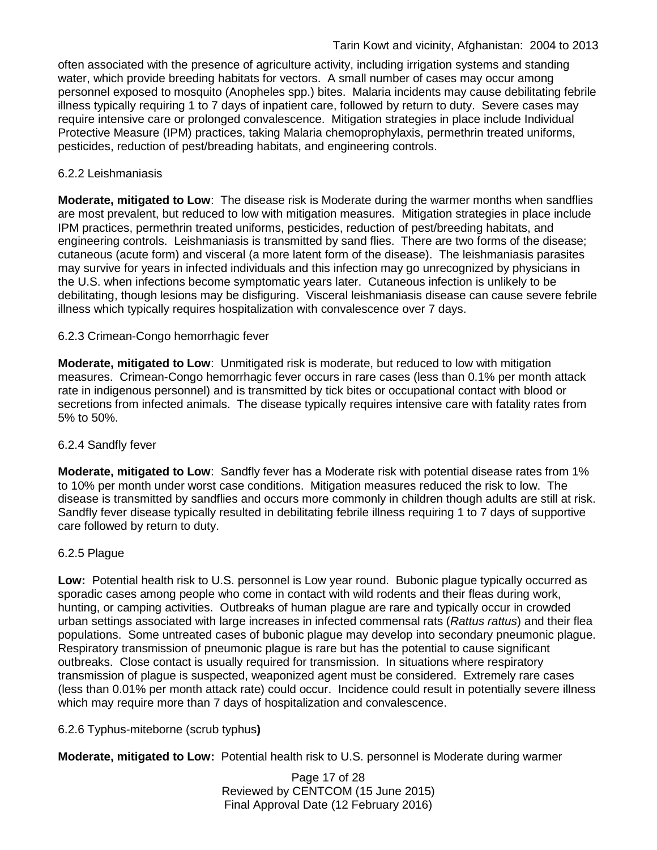often associated with the presence of agriculture activity, including irrigation systems and standing water, which provide breeding habitats for vectors. A small number of cases may occur among personnel exposed to mosquito (Anopheles spp.) bites. Malaria incidents may cause debilitating febrile illness typically requiring 1 to 7 days of inpatient care, followed by return to duty. Severe cases may require intensive care or prolonged convalescence. Mitigation strategies in place include Individual Protective Measure (IPM) practices, taking Malaria chemoprophylaxis, permethrin treated uniforms, pesticides, reduction of pest/breading habitats, and engineering controls.

## 6.2.2 Leishmaniasis

**Moderate, mitigated to Low**: The disease risk is Moderate during the warmer months when sandflies are most prevalent, but reduced to low with mitigation measures. Mitigation strategies in place include IPM practices, permethrin treated uniforms, pesticides, reduction of pest/breeding habitats, and engineering controls. Leishmaniasis is transmitted by sand flies. There are two forms of the disease; cutaneous (acute form) and visceral (a more latent form of the disease). The leishmaniasis parasites may survive for years in infected individuals and this infection may go unrecognized by physicians in the U.S. when infections become symptomatic years later. Cutaneous infection is unlikely to be debilitating, though lesions may be disfiguring. Visceral leishmaniasis disease can cause severe febrile illness which typically requires hospitalization with convalescence over 7 days.

## 6.2.3 Crimean-Congo hemorrhagic fever

**Moderate, mitigated to Low**: Unmitigated risk is moderate, but reduced to low with mitigation measures. Crimean-Congo hemorrhagic fever occurs in rare cases (less than 0.1% per month attack rate in indigenous personnel) and is transmitted by tick bites or occupational contact with blood or secretions from infected animals. The disease typically requires intensive care with fatality rates from 5% to 50%.

### 6.2.4 Sandfly fever

**Moderate, mitigated to Low**: Sandfly fever has a Moderate risk with potential disease rates from 1% to 10% per month under worst case conditions. Mitigation measures reduced the risk to low. The disease is transmitted by sandflies and occurs more commonly in children though adults are still at risk. Sandfly fever disease typically resulted in debilitating febrile illness requiring 1 to 7 days of supportive care followed by return to duty.

### 6.2.5 Plague

**Low:** Potential health risk to U.S. personnel is Low year round. Bubonic plague typically occurred as sporadic cases among people who come in contact with wild rodents and their fleas during work, hunting, or camping activities. Outbreaks of human plague are rare and typically occur in crowded urban settings associated with large increases in infected commensal rats (*Rattus rattus*) and their flea populations. Some untreated cases of bubonic plague may develop into secondary pneumonic plague. Respiratory transmission of pneumonic plague is rare but has the potential to cause significant outbreaks. Close contact is usually required for transmission. In situations where respiratory transmission of plague is suspected, weaponized agent must be considered. Extremely rare cases (less than 0.01% per month attack rate) could occur. Incidence could result in potentially severe illness which may require more than 7 days of hospitalization and convalescence.

## 6.2.6 Typhus-miteborne (scrub typhus**)**

**Moderate, mitigated to Low:** Potential health risk to U.S. personnel is Moderate during warmer

Page 17 of 28 Reviewed by CENTCOM (15 June 2015) Final Approval Date (12 February 2016)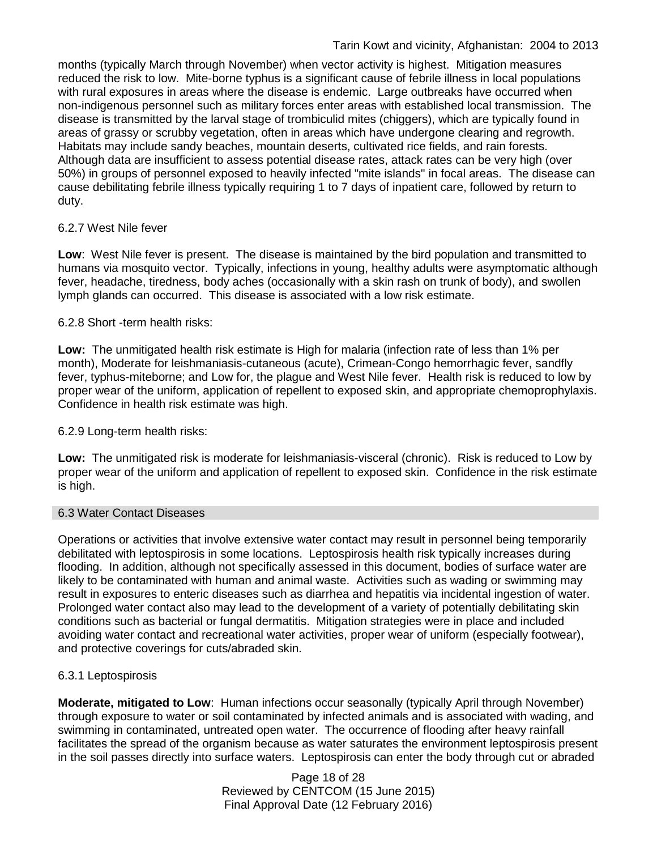months (typically March through November) when vector activity is highest. Mitigation measures reduced the risk to low. Mite-borne typhus is a significant cause of febrile illness in local populations with rural exposures in areas where the disease is endemic. Large outbreaks have occurred when non-indigenous personnel such as military forces enter areas with established local transmission. The disease is transmitted by the larval stage of trombiculid mites (chiggers), which are typically found in areas of grassy or scrubby vegetation, often in areas which have undergone clearing and regrowth. Habitats may include sandy beaches, mountain deserts, cultivated rice fields, and rain forests. Although data are insufficient to assess potential disease rates, attack rates can be very high (over 50%) in groups of personnel exposed to heavily infected "mite islands" in focal areas. The disease can cause debilitating febrile illness typically requiring 1 to 7 days of inpatient care, followed by return to duty.

### 6.2.7 West Nile fever

**Low**: West Nile fever is present. The disease is maintained by the bird population and transmitted to humans via mosquito vector. Typically, infections in young, healthy adults were asymptomatic although fever, headache, tiredness, body aches (occasionally with a skin rash on trunk of body), and swollen lymph glands can occurred. This disease is associated with a low risk estimate.

## 6.2.8 Short -term health risks:

**Low:** The unmitigated health risk estimate is High for malaria (infection rate of less than 1% per month), Moderate for leishmaniasis-cutaneous (acute), Crimean-Congo hemorrhagic fever, sandfly fever, typhus-miteborne; and Low for, the plague and West Nile fever. Health risk is reduced to low by proper wear of the uniform, application of repellent to exposed skin, and appropriate chemoprophylaxis. Confidence in health risk estimate was high.

### 6.2.9 Long-term health risks:

**Low:** The unmitigated risk is moderate for leishmaniasis-visceral (chronic). Risk is reduced to Low by proper wear of the uniform and application of repellent to exposed skin. Confidence in the risk estimate is high.

### 6.3 Water Contact Diseases

Operations or activities that involve extensive water contact may result in personnel being temporarily debilitated with leptospirosis in some locations. Leptospirosis health risk typically increases during flooding. In addition, although not specifically assessed in this document, bodies of surface water are likely to be contaminated with human and animal waste. Activities such as wading or swimming may result in exposures to enteric diseases such as diarrhea and hepatitis via incidental ingestion of water. Prolonged water contact also may lead to the development of a variety of potentially debilitating skin conditions such as bacterial or fungal dermatitis. Mitigation strategies were in place and included avoiding water contact and recreational water activities, proper wear of uniform (especially footwear), and protective coverings for cuts/abraded skin.

### 6.3.1 Leptospirosis

**Moderate, mitigated to Low**: Human infections occur seasonally (typically April through November) through exposure to water or soil contaminated by infected animals and is associated with wading, and swimming in contaminated, untreated open water. The occurrence of flooding after heavy rainfall facilitates the spread of the organism because as water saturates the environment leptospirosis present in the soil passes directly into surface waters. Leptospirosis can enter the body through cut or abraded

> Page 18 of 28 Reviewed by CENTCOM (15 June 2015) Final Approval Date (12 February 2016)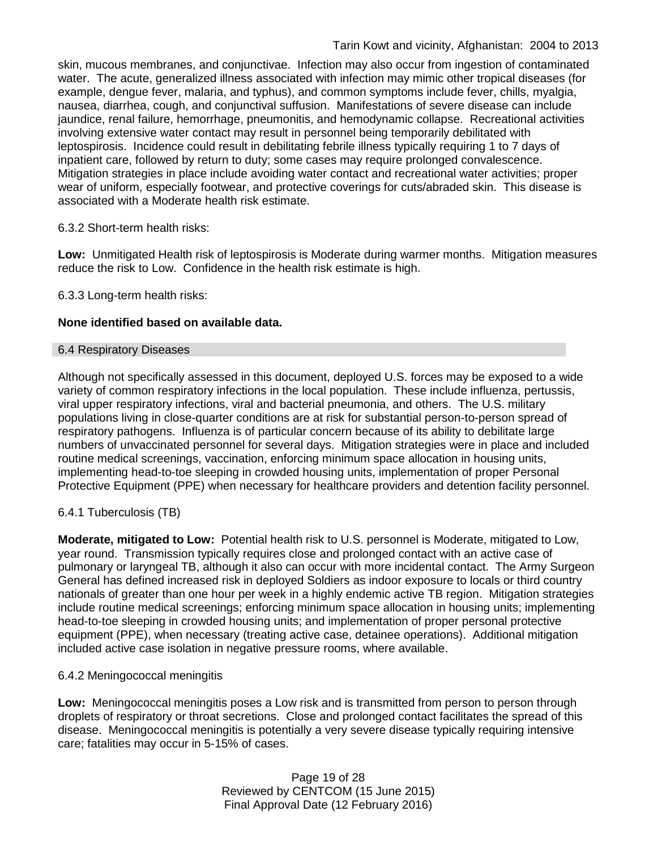skin, mucous membranes, and conjunctivae. Infection may also occur from ingestion of contaminated water. The acute, generalized illness associated with infection may mimic other tropical diseases (for example, dengue fever, malaria, and typhus), and common symptoms include fever, chills, myalgia, nausea, diarrhea, cough, and conjunctival suffusion. Manifestations of severe disease can include jaundice, renal failure, hemorrhage, pneumonitis, and hemodynamic collapse. Recreational activities involving extensive water contact may result in personnel being temporarily debilitated with leptospirosis. Incidence could result in debilitating febrile illness typically requiring 1 to 7 days of inpatient care, followed by return to duty; some cases may require prolonged convalescence. Mitigation strategies in place include avoiding water contact and recreational water activities; proper wear of uniform, especially footwear, and protective coverings for cuts/abraded skin. This disease is associated with a Moderate health risk estimate.

### 6.3.2 Short-term health risks:

**Low:** Unmitigated Health risk of leptospirosis is Moderate during warmer months. Mitigation measures reduce the risk to Low. Confidence in the health risk estimate is high.

6.3.3 Long-term health risks:

## **None identified based on available data.**

### 6.4 Respiratory Diseases

Although not specifically assessed in this document, deployed U.S. forces may be exposed to a wide variety of common respiratory infections in the local population. These include influenza, pertussis, viral upper respiratory infections, viral and bacterial pneumonia, and others. The U.S. military populations living in close-quarter conditions are at risk for substantial person-to-person spread of respiratory pathogens. Influenza is of particular concern because of its ability to debilitate large numbers of unvaccinated personnel for several days. Mitigation strategies were in place and included routine medical screenings, vaccination, enforcing minimum space allocation in housing units, implementing head-to-toe sleeping in crowded housing units, implementation of proper Personal Protective Equipment (PPE) when necessary for healthcare providers and detention facility personnel.

### 6.4.1 Tuberculosis (TB)

**Moderate, mitigated to Low:** Potential health risk to U.S. personnel is Moderate, mitigated to Low, year round. Transmission typically requires close and prolonged contact with an active case of pulmonary or laryngeal TB, although it also can occur with more incidental contact. The Army Surgeon General has defined increased risk in deployed Soldiers as indoor exposure to locals or third country nationals of greater than one hour per week in a highly endemic active TB region. Mitigation strategies include routine medical screenings; enforcing minimum space allocation in housing units; implementing head-to-toe sleeping in crowded housing units; and implementation of proper personal protective equipment (PPE), when necessary (treating active case, detainee operations). Additional mitigation included active case isolation in negative pressure rooms, where available.

### 6.4.2 Meningococcal meningitis

**Low:** Meningococcal meningitis poses a Low risk and is transmitted from person to person through droplets of respiratory or throat secretions. Close and prolonged contact facilitates the spread of this disease. Meningococcal meningitis is potentially a very severe disease typically requiring intensive care; fatalities may occur in 5-15% of cases.

> Page 19 of 28 Reviewed by CENTCOM (15 June 2015) Final Approval Date (12 February 2016)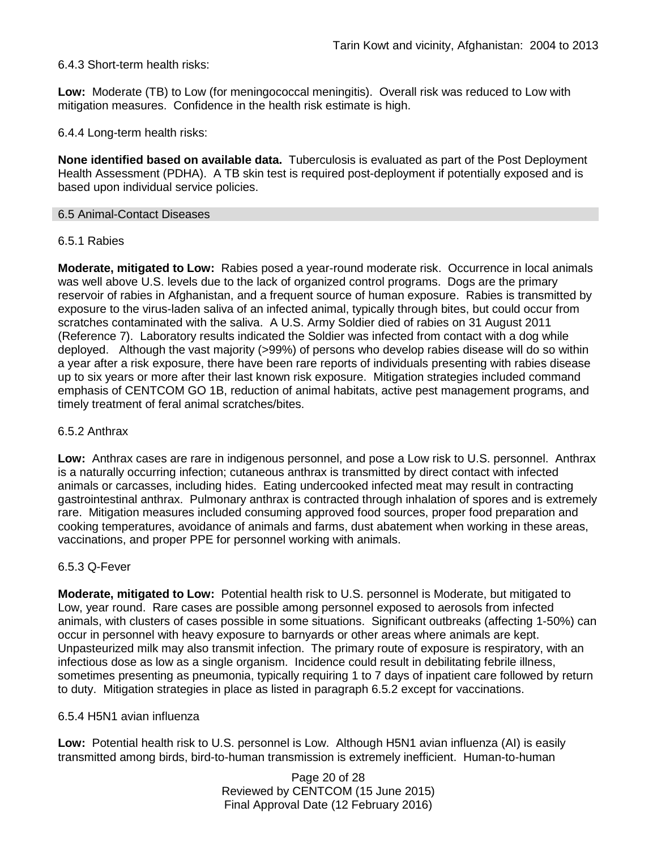### 6.4.3 Short-term health risks:

**Low:** Moderate (TB) to Low (for meningococcal meningitis). Overall risk was reduced to Low with mitigation measures. Confidence in the health risk estimate is high.

6.4.4 Long-term health risks:

**None identified based on available data.** Tuberculosis is evaluated as part of the Post Deployment Health Assessment (PDHA). A TB skin test is required post-deployment if potentially exposed and is based upon individual service policies.

#### 6.5 Animal-Contact Diseases

#### 6.5.1 Rabies

**Moderate, mitigated to Low:** Rabies posed a year-round moderate risk. Occurrence in local animals was well above U.S. levels due to the lack of organized control programs. Dogs are the primary reservoir of rabies in Afghanistan, and a frequent source of human exposure. Rabies is transmitted by exposure to the virus-laden saliva of an infected animal, typically through bites, but could occur from scratches contaminated with the saliva. A U.S. Army Soldier died of rabies on 31 August 2011 (Reference 7). Laboratory results indicated the Soldier was infected from contact with a dog while deployed. Although the vast majority (>99%) of persons who develop rabies disease will do so within a year after a risk exposure, there have been rare reports of individuals presenting with rabies disease up to six years or more after their last known risk exposure. Mitigation strategies included command emphasis of CENTCOM GO 1B, reduction of animal habitats, active pest management programs, and timely treatment of feral animal scratches/bites.

#### 6.5.2 Anthrax

**Low:** Anthrax cases are rare in indigenous personnel, and pose a Low risk to U.S. personnel. Anthrax is a naturally occurring infection; cutaneous anthrax is transmitted by direct contact with infected animals or carcasses, including hides. Eating undercooked infected meat may result in contracting gastrointestinal anthrax. Pulmonary anthrax is contracted through inhalation of spores and is extremely rare. Mitigation measures included consuming approved food sources, proper food preparation and cooking temperatures, avoidance of animals and farms, dust abatement when working in these areas, vaccinations, and proper PPE for personnel working with animals.

#### 6.5.3 Q-Fever

**Moderate, mitigated to Low:** Potential health risk to U.S. personnel is Moderate, but mitigated to Low, year round. Rare cases are possible among personnel exposed to aerosols from infected animals, with clusters of cases possible in some situations. Significant outbreaks (affecting 1-50%) can occur in personnel with heavy exposure to barnyards or other areas where animals are kept. Unpasteurized milk may also transmit infection. The primary route of exposure is respiratory, with an infectious dose as low as a single organism. Incidence could result in debilitating febrile illness, sometimes presenting as pneumonia, typically requiring 1 to 7 days of inpatient care followed by return to duty. Mitigation strategies in place as listed in paragraph 6.5.2 except for vaccinations.

#### 6.5.4 H5N1 avian influenza

**Low:** Potential health risk to U.S. personnel is Low. Although H5N1 avian influenza (AI) is easily transmitted among birds, bird-to-human transmission is extremely inefficient. Human-to-human

> Page 20 of 28 Reviewed by CENTCOM (15 June 2015) Final Approval Date (12 February 2016)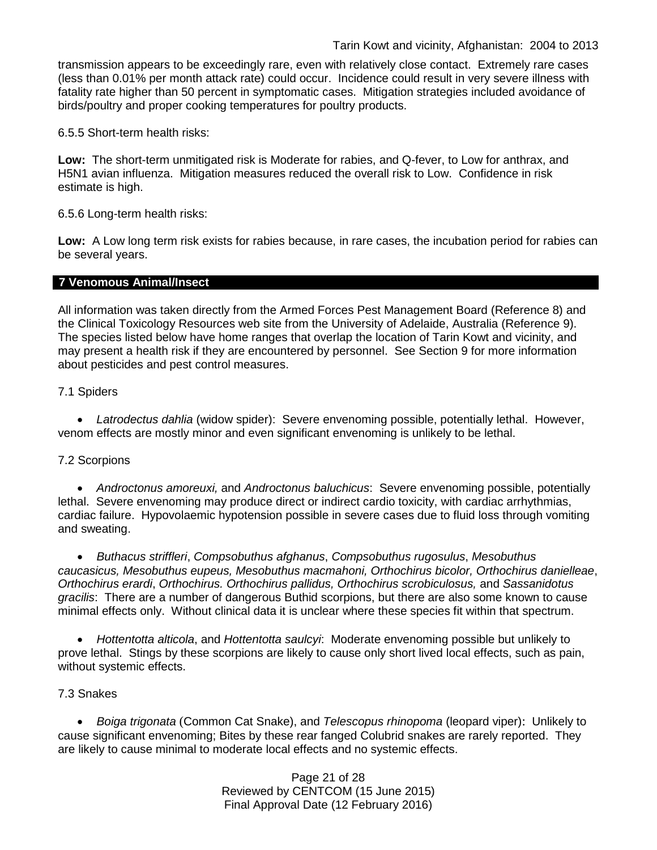transmission appears to be exceedingly rare, even with relatively close contact. Extremely rare cases (less than 0.01% per month attack rate) could occur. Incidence could result in very severe illness with fatality rate higher than 50 percent in symptomatic cases. Mitigation strategies included avoidance of birds/poultry and proper cooking temperatures for poultry products.

6.5.5 Short-term health risks:

**Low:** The short-term unmitigated risk is Moderate for rabies, and Q-fever, to Low for anthrax, and H5N1 avian influenza. Mitigation measures reduced the overall risk to Low.Confidence in risk estimate is high.

6.5.6 Long-term health risks:

**Low:** A Low long term risk exists for rabies because, in rare cases, the incubation period for rabies can be several years.

#### **7 Venomous Animal/Insect**

All information was taken directly from the Armed Forces Pest Management Board (Reference 8) and the Clinical Toxicology Resources web site from the University of Adelaide, Australia (Reference 9). The species listed below have home ranges that overlap the location of Tarin Kowt and vicinity, and may present a health risk if they are encountered by personnel. See Section 9 for more information about pesticides and pest control measures.

### 7.1 Spiders

• *Latrodectus dahlia* (widow spider): Severe envenoming possible, potentially lethal. However, venom effects are mostly minor and even significant envenoming is unlikely to be lethal.

### 7.2 Scorpions

• *Androctonus amoreuxi,* and *Androctonus baluchicus*: Severe envenoming possible, potentially lethal. Severe envenoming may produce direct or indirect cardio toxicity, with cardiac arrhythmias, cardiac failure. Hypovolaemic hypotension possible in severe cases due to fluid loss through vomiting and sweating.

• *Buthacus striffleri*, *Compsobuthus afghanus*, *Compsobuthus rugosulus*, *Mesobuthus caucasicus, Mesobuthus eupeus, Mesobuthus macmahoni, Orthochirus bicolor, Orthochirus danielleae*, *Orthochirus erardi*, *Orthochirus. Orthochirus pallidus, Orthochirus scrobiculosus,* and *Sassanidotus gracilis*: There are a number of dangerous Buthid scorpions, but there are also some known to cause minimal effects only. Without clinical data it is unclear where these species fit within that spectrum.

• *Hottentotta alticola*, and *Hottentotta saulcyi*: Moderate envenoming possible but unlikely to prove lethal. Stings by these scorpions are likely to cause only short lived local effects, such as pain, without systemic effects.

### 7.3 Snakes

• *[Boiga](http://www.toxinology.com/fusebox.cfm?fuseaction=main.snakes.display&id=SN0722) [trigonata](http://www.toxinology.com/fusebox.cfm?fuseaction=main.snakes.display&id=SN0722)* (Common Cat Snake), and *Telescopus rhinopoma* (leopard viper): Unlikely to cause significant envenoming; Bites by these rear fanged Colubrid snakes are rarely reported. They are likely to cause minimal to moderate local effects and no systemic effects.

> Page 21 of 28 Reviewed by CENTCOM (15 June 2015) Final Approval Date (12 February 2016)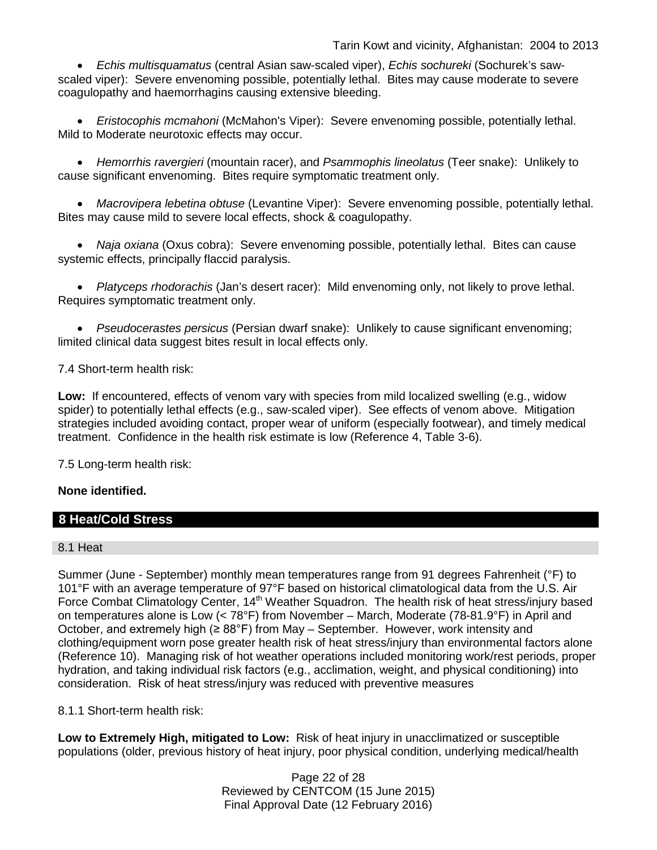• *Echis multisquamatus* (central Asian saw-scaled viper), *Echis sochureki* (Sochurek's sawscaled viper): Severe envenoming possible, potentially lethal. Bites may cause moderate to severe coagulopathy and haemorrhagins causing extensive bleeding.

• *Eristocophis mcmahoni* (McMahon's Viper): Severe envenoming possible, potentially lethal. Mild to Moderate neurotoxic effects may occur.

• *Hemorrhis ravergieri* (mountain racer), and *Psammophis lineolatus* (Teer snake): Unlikely to cause significant envenoming. Bites require symptomatic treatment only.

• *Macrovipera lebetina obtuse* (Levantine Viper): Severe envenoming possible, potentially lethal. Bites may cause mild to severe local effects, shock & coagulopathy.

• *Naja oxiana* (Oxus cobra): Severe envenoming possible, potentially lethal. Bites can cause systemic effects, principally flaccid paralysis.

• *Platyceps rhodorachis* (Jan's desert racer): Mild envenoming only, not likely to prove lethal. Requires symptomatic treatment only.

• *Pseudocerastes persicus* (Persian dwarf snake): Unlikely to cause significant envenoming; limited clinical data suggest bites result in local effects only.

7.4 Short-term health risk:

**Low:** If encountered, effects of venom vary with species from mild localized swelling (e.g., widow spider) to potentially lethal effects (e.g., saw-scaled viper). See effects of venom above. Mitigation strategies included avoiding contact, proper wear of uniform (especially footwear), and timely medical treatment. Confidence in the health risk estimate is low (Reference 4, Table 3-6).

7.5 Long-term health risk:

### **None identified.**

## **8 Heat/Cold Stress**

#### 8.1 Heat

Summer (June - September) monthly mean temperatures range from 91 degrees Fahrenheit (°F) to 101°F with an average temperature of 97°F based on historical climatological data from the U.S. Air Force Combat Climatology Center, 14<sup>th</sup> Weather Squadron. The health risk of heat stress/injury based on temperatures alone is Low (< 78°F) from November – March, Moderate (78-81.9°F) in April and October, and extremely high ( $\geq 88^{\circ}$ F) from May – September. However, work intensity and clothing/equipment worn pose greater health risk of heat stress/injury than environmental factors alone (Reference 10). Managing risk of hot weather operations included monitoring work/rest periods, proper hydration, and taking individual risk factors (e.g., acclimation, weight, and physical conditioning) into consideration. Risk of heat stress/injury was reduced with preventive measures

### 8.1.1 Short-term health risk:

**Low to Extremely High, mitigated to Low:** Risk of heat injury in unacclimatized or susceptible populations (older, previous history of heat injury, poor physical condition, underlying medical/health

> Page 22 of 28 Reviewed by CENTCOM (15 June 2015) Final Approval Date (12 February 2016)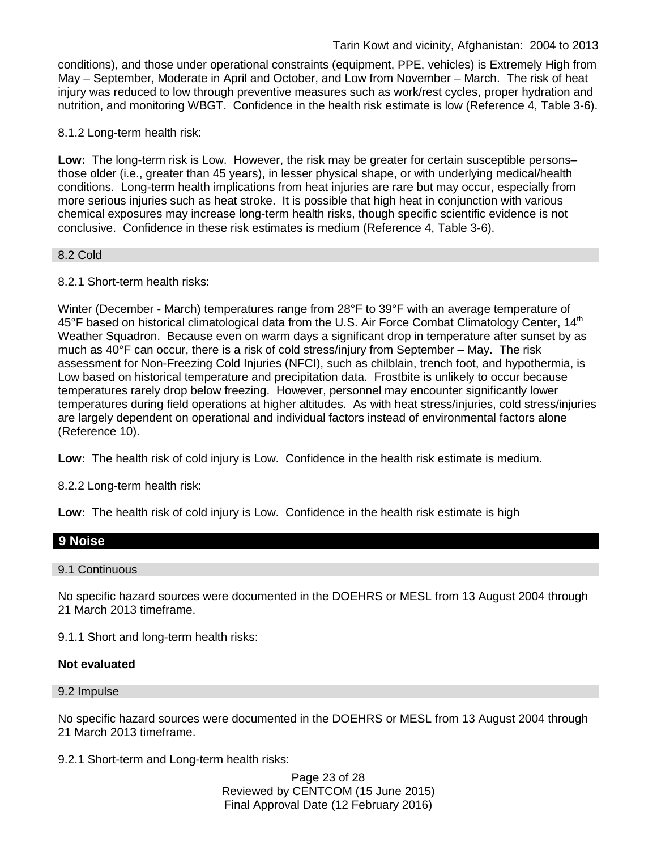conditions), and those under operational constraints (equipment, PPE, vehicles) is Extremely High from May – September, Moderate in April and October, and Low from November – March. The risk of heat injury was reduced to low through preventive measures such as work/rest cycles, proper hydration and nutrition, and monitoring WBGT. Confidence in the health risk estimate is low (Reference 4, Table 3-6).

8.1.2 Long-term health risk:

**Low:** The long-term risk is Low. However, the risk may be greater for certain susceptible persons– those older (i.e., greater than 45 years), in lesser physical shape, or with underlying medical/health conditions. Long-term health implications from heat injuries are rare but may occur, especially from more serious injuries such as heat stroke. It is possible that high heat in conjunction with various chemical exposures may increase long-term health risks, though specific scientific evidence is not conclusive. Confidence in these risk estimates is medium (Reference 4, Table 3-6).

### 8.2 Cold

8.2.1 Short-term health risks:

Winter (December - March) temperatures range from 28°F to 39°F with an average temperature of 45°F based on historical climatological data from the U.S. Air Force Combat Climatology Center, 14<sup>th</sup> Weather Squadron. Because even on warm days a significant drop in temperature after sunset by as much as 40°F can occur, there is a risk of cold stress/injury from September – May. The risk assessment for Non-Freezing Cold Injuries (NFCI), such as chilblain, trench foot, and hypothermia, is Low based on historical temperature and precipitation data. Frostbite is unlikely to occur because temperatures rarely drop below freezing. However, personnel may encounter significantly lower temperatures during field operations at higher altitudes. As with heat stress/injuries, cold stress/injuries are largely dependent on operational and individual factors instead of environmental factors alone (Reference 10).

**Low:** The health risk of cold injury is Low. Confidence in the health risk estimate is medium.

8.2.2 Long-term health risk:

**Low:** The health risk of cold injury is Low. Confidence in the health risk estimate is high

#### **9 Noise**

#### 9.1 Continuous

No specific hazard sources were documented in the DOEHRS or MESL from 13 August 2004 through 21 March 2013 timeframe.

9.1.1 Short and long-term health risks:

#### **Not evaluated**

#### 9.2 Impulse

No specific hazard sources were documented in the DOEHRS or MESL from 13 August 2004 through 21 March 2013 timeframe.

9.2.1 Short-term and Long-term health risks:

Page 23 of 28 Reviewed by CENTCOM (15 June 2015) Final Approval Date (12 February 2016)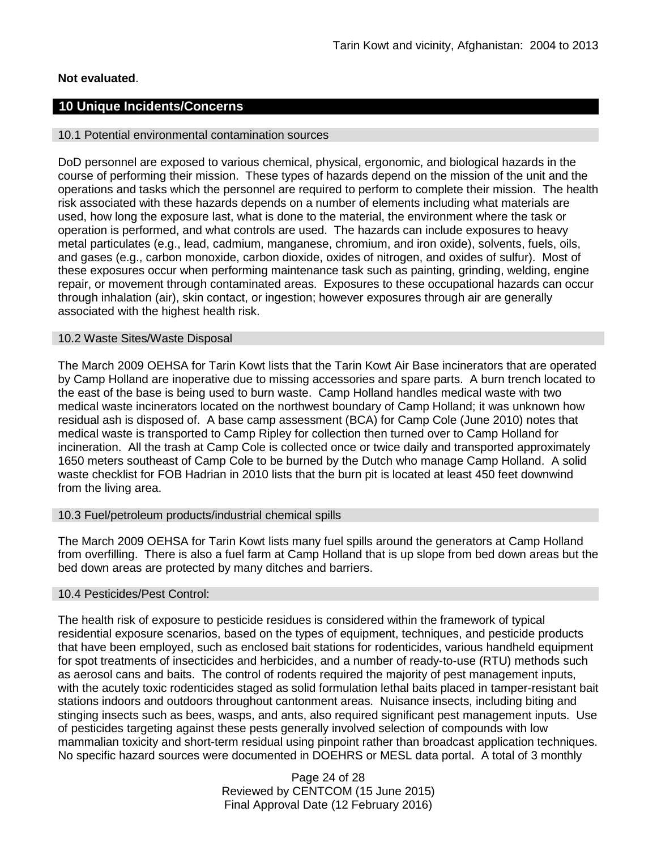### **Not evaluated**.

### **10 Unique Incidents/Concerns**

#### 10.1 Potential environmental contamination sources

DoD personnel are exposed to various chemical, physical, ergonomic, and biological hazards in the course of performing their mission. These types of hazards depend on the mission of the unit and the operations and tasks which the personnel are required to perform to complete their mission. The health risk associated with these hazards depends on a number of elements including what materials are used, how long the exposure last, what is done to the material, the environment where the task or operation is performed, and what controls are used. The hazards can include exposures to heavy metal particulates (e.g., lead, cadmium, manganese, chromium, and iron oxide), solvents, fuels, oils, and gases (e.g., carbon monoxide, carbon dioxide, oxides of nitrogen, and oxides of sulfur). Most of these exposures occur when performing maintenance task such as painting, grinding, welding, engine repair, or movement through contaminated areas. Exposures to these occupational hazards can occur through inhalation (air), skin contact, or ingestion; however exposures through air are generally associated with the highest health risk.

#### 10.2 Waste Sites/Waste Disposal

The March 2009 OEHSA for Tarin Kowt lists that the Tarin Kowt Air Base incinerators that are operated by Camp Holland are inoperative due to missing accessories and spare parts. A burn trench located to the east of the base is being used to burn waste. Camp Holland handles medical waste with two medical waste incinerators located on the northwest boundary of Camp Holland; it was unknown how residual ash is disposed of. A base camp assessment (BCA) for Camp Cole (June 2010) notes that medical waste is transported to Camp Ripley for collection then turned over to Camp Holland for incineration. All the trash at Camp Cole is collected once or twice daily and transported approximately 1650 meters southeast of Camp Cole to be burned by the Dutch who manage Camp Holland. A solid waste checklist for FOB Hadrian in 2010 lists that the burn pit is located at least 450 feet downwind from the living area.

#### 10.3 Fuel/petroleum products/industrial chemical spills

The March 2009 OEHSA for Tarin Kowt lists many fuel spills around the generators at Camp Holland from overfilling. There is also a fuel farm at Camp Holland that is up slope from bed down areas but the bed down areas are protected by many ditches and barriers.

#### 10.4 Pesticides/Pest Control:

The health risk of exposure to pesticide residues is considered within the framework of typical residential exposure scenarios, based on the types of equipment, techniques, and pesticide products that have been employed, such as enclosed bait stations for rodenticides, various handheld equipment for spot treatments of insecticides and herbicides, and a number of ready-to-use (RTU) methods such as aerosol cans and baits. The control of rodents required the majority of pest management inputs, with the acutely toxic rodenticides staged as solid formulation lethal baits placed in tamper-resistant bait stations indoors and outdoors throughout cantonment areas. Nuisance insects, including biting and stinging insects such as bees, wasps, and ants, also required significant pest management inputs. Use of pesticides targeting against these pests generally involved selection of compounds with low mammalian toxicity and short-term residual using pinpoint rather than broadcast application techniques. No specific hazard sources were documented in DOEHRS or MESL data portal. A total of 3 monthly

> Page 24 of 28 Reviewed by CENTCOM (15 June 2015) Final Approval Date (12 February 2016)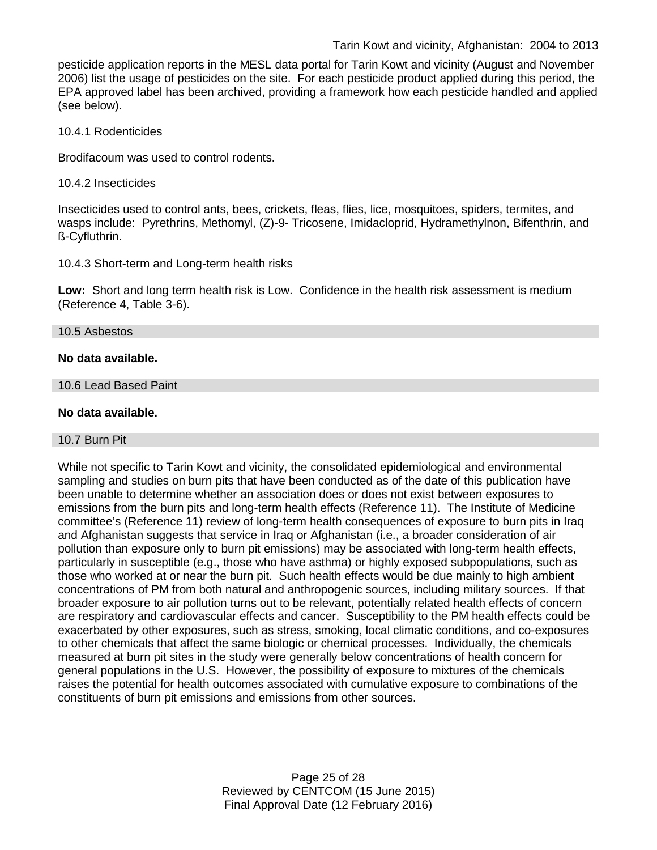pesticide application reports in the MESL data portal for Tarin Kowt and vicinity (August and November 2006) list the usage of pesticides on the site. For each pesticide product applied during this period, the EPA approved label has been archived, providing a framework how each pesticide handled and applied (see below).

10.4.1 Rodenticides

Brodifacoum was used to control rodents.

10.4.2 Insecticides

Insecticides used to control ants, bees, crickets, fleas, flies, lice, mosquitoes, spiders, termites, and wasps include: Pyrethrins, Methomyl, (Z)-9- Tricosene, Imidacloprid, Hydramethylnon, Bifenthrin, and ß-Cyfluthrin.

10.4.3 Short-term and Long-term health risks

**Low:** Short and long term health risk is Low. Confidence in the health risk assessment is medium (Reference 4, Table 3-6).

#### 10.5 Asbestos

### **No data available.**

10.6 Lead Based Paint

#### **No data available.**

#### 10.7 Burn Pit

While not specific to Tarin Kowt and vicinity, the consolidated epidemiological and environmental sampling and studies on burn pits that have been conducted as of the date of this publication have been unable to determine whether an association does or does not exist between exposures to emissions from the burn pits and long-term health effects (Reference 11). The Institute of Medicine committee's (Reference 11) review of long-term health consequences of exposure to burn pits in Iraq and Afghanistan suggests that service in Iraq or Afghanistan (i.e., a broader consideration of air pollution than exposure only to burn pit emissions) may be associated with long-term health effects, particularly in susceptible (e.g., those who have asthma) or highly exposed subpopulations, such as those who worked at or near the burn pit. Such health effects would be due mainly to high ambient concentrations of PM from both natural and anthropogenic sources, including military sources. If that broader exposure to air pollution turns out to be relevant, potentially related health effects of concern are respiratory and cardiovascular effects and cancer. Susceptibility to the PM health effects could be exacerbated by other exposures, such as stress, smoking, local climatic conditions, and co-exposures to other chemicals that affect the same biologic or chemical processes. Individually, the chemicals measured at burn pit sites in the study were generally below concentrations of health concern for general populations in the U.S. However, the possibility of exposure to mixtures of the chemicals raises the potential for health outcomes associated with cumulative exposure to combinations of the constituents of burn pit emissions and emissions from other sources.

> Page 25 of 28 Reviewed by CENTCOM (15 June 2015) Final Approval Date (12 February 2016)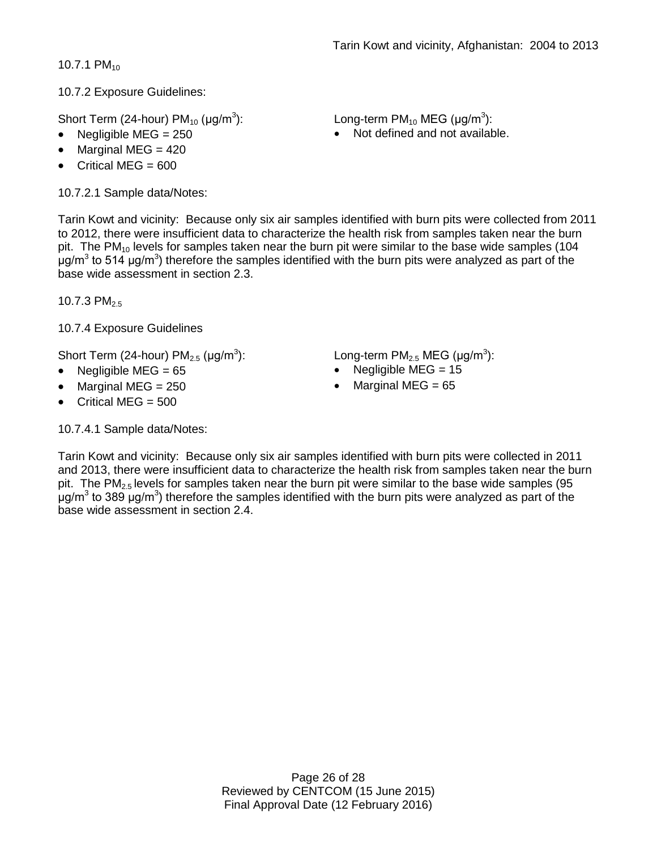10.7.1  $PM_{10}$ 

10.7.2 Exposure Guidelines:

Short Term (24-hour)  $PM_{10}$  ( $\mu$ g/m<sup>3</sup>):

- 
- Marginal MEG  $= 420$
- Critical MEG  $= 600$

10.7.2.1 Sample data/Notes:

Tarin Kowt and vicinity: Because only six air samples identified with burn pits were collected from 2011 to 2012, there were insufficient data to characterize the health risk from samples taken near the burn pit. The PM $_{10}$  levels for samples taken near the burn pit were similar to the base wide samples (104 μg/m<sup>3</sup> to 514 μg/m<sup>3</sup>) therefore the samples identified with the burn pits were analyzed as part of the base wide assessment in section 2.3.

10.7.3 PM<sub>2.5</sub>

10.7.4 Exposure Guidelines

Short Term (24-hour)  $PM_{2.5}$  ( $\mu$ g/m<sup>3</sup>):

- 
- Marginal MEG = 250 Marginal MEG = 65
- Critical MEG  $= 500$

10.7.4.1 Sample data/Notes:

): Long-term PM<sub>10</sub> MEG ( $\mu$ g/m<sup>3</sup>):

• Negligible MEG = 250 • Not defined and not available.

): Long-term PM<sub>2.5</sub> MEG (µg/m<sup>3</sup>):

- Negligible MEG = 65 Negligible MEG = 15
	-

Tarin Kowt and vicinity: Because only six air samples identified with burn pits were collected in 2011 and 2013, there were insufficient data to characterize the health risk from samples taken near the burn pit. The  $PM<sub>2.5</sub>$  levels for samples taken near the burn pit were similar to the base wide samples (95 μg/m<sup>3</sup> to 389 μg/m<sup>3</sup>) therefore the samples identified with the burn pits were analyzed as part of the base wide assessment in section 2.4.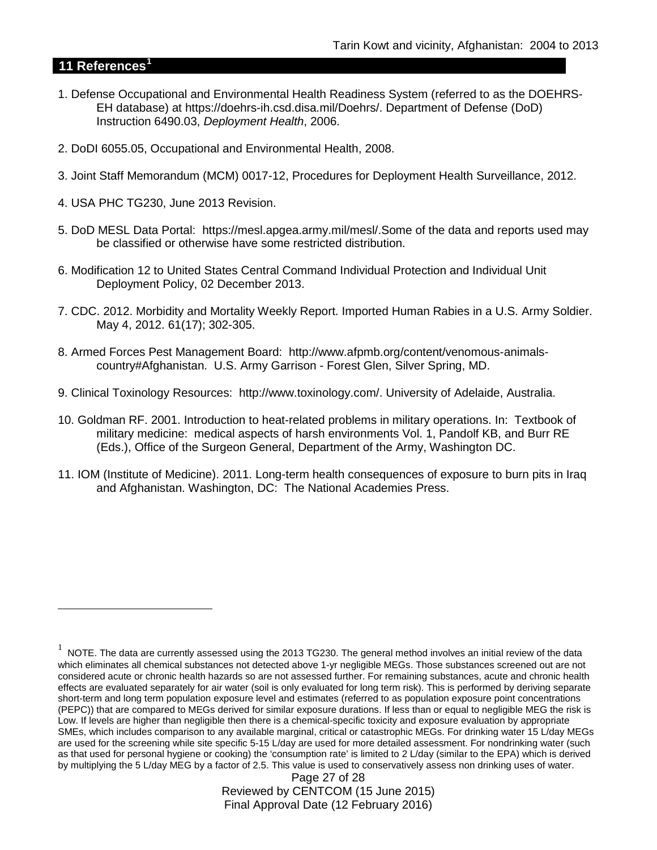## **11 References[1](#page-26-0)**

 $\overline{a}$ 

- 1. Defense Occupational and Environmental Health Readiness System (referred to as the DOEHRS-EH database) at https://doehrs-ih.csd.disa.mil/Doehrs/. Department of Defense (DoD) Instruction 6490.03, *Deployment Health*, 2006.
- 2. DoDI 6055.05, Occupational and Environmental Health, 2008.
- 3. Joint Staff Memorandum (MCM) 0017-12, Procedures for Deployment Health Surveillance, 2012.
- 4. USA PHC TG230, June 2013 Revision.
- 5. DoD MESL Data Portal: https://mesl.apgea.army.mil/mesl/.Some of the data and reports used may be classified or otherwise have some restricted distribution.
- 6. Modification 12 to United States Central Command Individual Protection and Individual Unit Deployment Policy, 02 December 2013.
- 7. CDC. 2012. Morbidity and Mortality Weekly Report. Imported Human Rabies in a U.S. Army Soldier. May 4, 2012. 61(17); 302-305.
- 8. Armed Forces Pest Management Board: http://www.afpmb.org/content/venomous-animalscountry#Afghanistan. U.S. Army Garrison - Forest Glen, Silver Spring, MD.
- 9. Clinical Toxinology Resources: http://www.toxinology.com/. University of Adelaide, Australia.
- 10. Goldman RF. 2001. Introduction to heat-related problems in military operations. In: Textbook of military medicine: medical aspects of harsh environments Vol. 1, Pandolf KB, and Burr RE (Eds.), Office of the Surgeon General, Department of the Army, Washington DC.
- 11. IOM (Institute of Medicine). 2011. Long-term health consequences of exposure to burn pits in Iraq and Afghanistan. Washington, DC: The National Academies Press.

Page 27 of 28 Reviewed by CENTCOM (15 June 2015) Final Approval Date (12 February 2016)

<span id="page-26-0"></span> $1$  NOTE. The data are currently assessed using the 2013 TG230. The general method involves an initial review of the data which eliminates all chemical substances not detected above 1-yr negligible MEGs. Those substances screened out are not considered acute or chronic health hazards so are not assessed further. For remaining substances, acute and chronic health effects are evaluated separately for air water (soil is only evaluated for long term risk). This is performed by deriving separate short-term and long term population exposure level and estimates (referred to as population exposure point concentrations (PEPC)) that are compared to MEGs derived for similar exposure durations. If less than or equal to negligible MEG the risk is Low. If levels are higher than negligible then there is a chemical-specific toxicity and exposure evaluation by appropriate SMEs, which includes comparison to any available marginal, critical or catastrophic MEGs. For drinking water 15 L/day MEGs are used for the screening while site specific 5-15 L/day are used for more detailed assessment. For nondrinking water (such as that used for personal hygiene or cooking) the 'consumption rate' is limited to 2 L/day (similar to the EPA) which is derived by multiplying the 5 L/day MEG by a factor of 2.5. This value is used to conservatively assess non drinking uses of water.